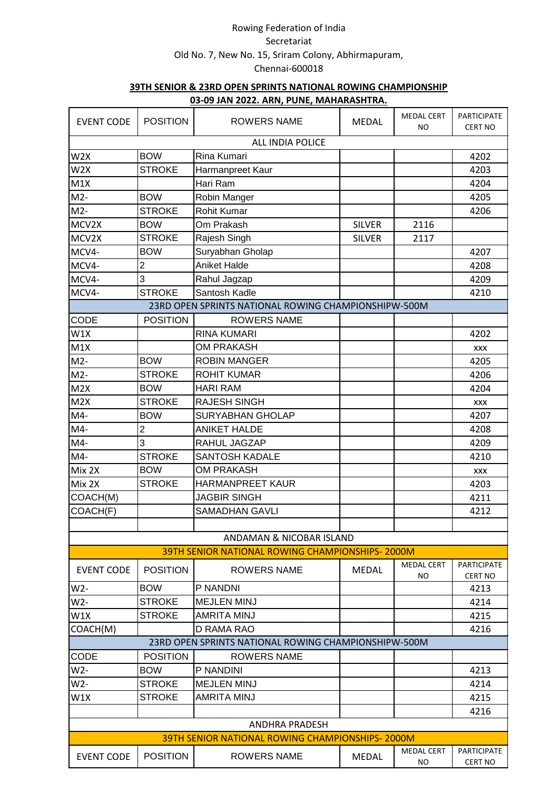|                   | <u>05-09 JAN ZUZZ. AKIN, PUNE, IVIAHAKASHTKA.</u> |                                                        |               |                         |                                      |  |  |  |
|-------------------|---------------------------------------------------|--------------------------------------------------------|---------------|-------------------------|--------------------------------------|--|--|--|
| <b>EVENT CODE</b> | <b>POSITION</b>                                   | <b>ROWERS NAME</b>                                     | <b>MEDAL</b>  | <b>MEDAL CERT</b><br>ΝO | <b>PARTICIPATE</b><br><b>CERT NO</b> |  |  |  |
|                   |                                                   | ALL INDIA POLICE                                       |               |                         |                                      |  |  |  |
| W <sub>2</sub> X  | <b>BOW</b>                                        | Rina Kumari                                            |               |                         | 4202                                 |  |  |  |
| W <sub>2</sub> X  | <b>STROKE</b>                                     | Harmanpreet Kaur                                       |               |                         | 4203                                 |  |  |  |
| M1X               |                                                   | Hari Ram                                               |               |                         | 4204                                 |  |  |  |
| $M2-$             | <b>BOW</b>                                        | Robin Manger                                           |               |                         | 4205                                 |  |  |  |
| $M2-$             | <b>STROKE</b>                                     | <b>Rohit Kumar</b>                                     |               |                         | 4206                                 |  |  |  |
| MCV2X             | <b>BOW</b>                                        | Om Prakash                                             | <b>SILVER</b> | 2116                    |                                      |  |  |  |
| MCV2X             | <b>STROKE</b>                                     | Rajesh Singh                                           | <b>SILVER</b> | 2117                    |                                      |  |  |  |
| MCV4-             | <b>BOW</b>                                        | Suryabhan Gholap                                       |               |                         | 4207                                 |  |  |  |
| MCV4-             | $\overline{c}$                                    | <b>Aniket Halde</b>                                    |               |                         | 4208                                 |  |  |  |
| MCV4-             | 3                                                 | Rahul Jagzap                                           |               |                         | 4209                                 |  |  |  |
| MCV4-             | <b>STROKE</b>                                     | Santosh Kadle                                          |               |                         | 4210                                 |  |  |  |
|                   |                                                   | 23RD OPEN SPRINTS NATIONAL ROWING CHAMPIONSHIPW-500M   |               |                         |                                      |  |  |  |
| <b>CODE</b>       | <b>POSITION</b>                                   | <b>ROWERS NAME</b>                                     |               |                         |                                      |  |  |  |
| W1X               |                                                   | <b>RINA KUMARI</b>                                     |               |                         | 4202                                 |  |  |  |
| M1X               |                                                   | <b>OM PRAKASH</b>                                      |               |                         | <b>XXX</b>                           |  |  |  |
| $M2-$             | <b>BOW</b>                                        | <b>ROBIN MANGER</b>                                    |               |                         | 4205                                 |  |  |  |
| $M2-$             | <b>STROKE</b>                                     | <b>ROHIT KUMAR</b>                                     |               |                         | 4206                                 |  |  |  |
| M2X               | <b>BOW</b>                                        | <b>HARI RAM</b>                                        |               |                         | 4204                                 |  |  |  |
| M2X               | <b>STROKE</b>                                     | <b>RAJESH SINGH</b>                                    |               |                         | <b>XXX</b>                           |  |  |  |
| M4-               | <b>BOW</b>                                        | <b>SURYABHAN GHOLAP</b>                                |               |                         | 4207                                 |  |  |  |
| M4-               | $\overline{c}$                                    | <b>ANIKET HALDE</b>                                    |               |                         | 4208                                 |  |  |  |
| M4-               | 3                                                 | RAHUL JAGZAP                                           |               |                         | 4209                                 |  |  |  |
| M4-               | <b>STROKE</b>                                     | <b>SANTOSH KADALE</b>                                  |               |                         | 4210                                 |  |  |  |
| Mix 2X            | <b>BOW</b>                                        | <b>OM PRAKASH</b>                                      |               |                         | XXX                                  |  |  |  |
| Mix 2X            | <b>STROKE</b>                                     | HARMANPREET KAUR                                       |               |                         | 4203                                 |  |  |  |
| COACH(M)          |                                                   | <b>JAGBIR SINGH</b>                                    |               |                         | 4211                                 |  |  |  |
| COACH(F)          |                                                   | <b>SAMADHAN GAVLI</b>                                  |               |                         | 4212                                 |  |  |  |
|                   |                                                   |                                                        |               |                         |                                      |  |  |  |
|                   |                                                   | ANDAMAN & NICOBAR ISLAND                               |               |                         |                                      |  |  |  |
|                   |                                                   | <b>39TH SENIOR NATIONAL ROWING CHAMPIONSHIPS-2000M</b> |               |                         |                                      |  |  |  |
| <b>EVENT CODE</b> | <b>POSITION</b>                                   | <b>ROWERS NAME</b>                                     | <b>MEDAL</b>  | <b>MEDAL CERT</b><br>ΝO | <b>PARTICIPATE</b><br>CERT NO        |  |  |  |
| W2-               | <b>BOW</b>                                        | P NANDNI                                               |               |                         | 4213                                 |  |  |  |
| $W2-$             | <b>STROKE</b>                                     | <b>MEJLEN MINJ</b>                                     |               |                         | 4214                                 |  |  |  |
| W1X               | <b>STROKE</b>                                     | AMRITA MINJ                                            |               |                         | 4215                                 |  |  |  |
| COACH(M)          |                                                   | D RAMA RAO                                             |               |                         | 4216                                 |  |  |  |
|                   |                                                   | 23RD OPEN SPRINTS NATIONAL ROWING CHAMPIONSHIPW-500M   |               |                         |                                      |  |  |  |
| <b>CODE</b>       | <b>POSITION</b>                                   | <b>ROWERS NAME</b>                                     |               |                         |                                      |  |  |  |
| $W2-$             | <b>BOW</b>                                        | P NANDINI                                              |               |                         | 4213                                 |  |  |  |
| W2-               | <b>STROKE</b>                                     | <b>MEJLEN MINJ</b>                                     |               |                         | 4214                                 |  |  |  |
| W1X               | <b>STROKE</b>                                     | <b>AMRITA MINJ</b>                                     |               |                         | 4215                                 |  |  |  |
|                   |                                                   |                                                        |               |                         | 4216                                 |  |  |  |
|                   |                                                   | <b>ANDHRA PRADESH</b>                                  |               |                         |                                      |  |  |  |
|                   |                                                   | 39TH SENIOR NATIONAL ROWING CHAMPIONSHIPS-2000M        |               |                         |                                      |  |  |  |
| <b>EVENT CODE</b> | <b>POSITION</b>                                   | <b>ROWERS NAME</b>                                     | <b>MEDAL</b>  | <b>MEDAL CERT</b><br>NO | <b>PARTICIPATE</b><br><b>CERT NO</b> |  |  |  |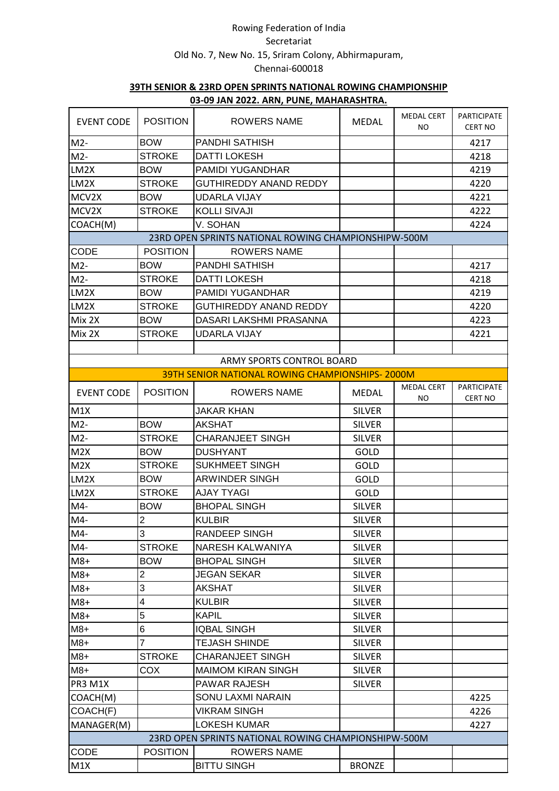| <b>EVENT CODE</b> | <b>POSITION</b> | _____<br>ROWERS NAME                                   | <b>MEDAL</b>  | <b>MEDAL CERT</b><br>NO. | PARTICIPATE<br><b>CERT NO</b>        |
|-------------------|-----------------|--------------------------------------------------------|---------------|--------------------------|--------------------------------------|
| $M2-$             | <b>BOW</b>      | PANDHI SATHISH                                         |               |                          | 4217                                 |
| $M2-$             | <b>STROKE</b>   | <b>DATTI LOKESH</b>                                    |               |                          | 4218                                 |
| LM2X              | <b>BOW</b>      | PAMIDI YUGANDHAR                                       |               |                          | 4219                                 |
| LM2X              | <b>STROKE</b>   | <b>GUTHIREDDY ANAND REDDY</b>                          |               |                          | 4220                                 |
| MCV2X             | <b>BOW</b>      | <b>UDARLA VIJAY</b>                                    |               |                          | 4221                                 |
| MCV2X             | <b>STROKE</b>   | <b>KOLLI SIVAJI</b>                                    |               |                          | 4222                                 |
| COACH(M)          |                 | V. SOHAN                                               |               |                          | 4224                                 |
|                   |                 | 23RD OPEN SPRINTS NATIONAL ROWING CHAMPIONSHIPW-500M   |               |                          |                                      |
| <b>CODE</b>       | <b>POSITION</b> | <b>ROWERS NAME</b>                                     |               |                          |                                      |
| $M2-$             | <b>BOW</b>      | PANDHI SATHISH                                         |               |                          | 4217                                 |
| $M2-$             | <b>STROKE</b>   | <b>DATTI LOKESH</b>                                    |               |                          | 4218                                 |
| LM2X              | <b>BOW</b>      | <b>PAMIDI YUGANDHAR</b>                                |               |                          | 4219                                 |
| LM2X              | <b>STROKE</b>   | <b>GUTHIREDDY ANAND REDDY</b>                          |               |                          | 4220                                 |
| Mix 2X            | <b>BOW</b>      | DASARI LAKSHMI PRASANNA                                |               |                          | 4223                                 |
| Mix 2X            | <b>STROKE</b>   | <b>UDARLA VIJAY</b>                                    |               |                          | 4221                                 |
|                   |                 |                                                        |               |                          |                                      |
|                   |                 | ARMY SPORTS CONTROL BOARD                              |               |                          |                                      |
|                   |                 | <b>39TH SENIOR NATIONAL ROWING CHAMPIONSHIPS-2000M</b> |               |                          |                                      |
| <b>EVENT CODE</b> | <b>POSITION</b> | <b>ROWERS NAME</b>                                     | <b>MEDAL</b>  | <b>MEDAL CERT</b><br>NO  | <b>PARTICIPATE</b><br><b>CERT NO</b> |
| M1X               |                 | <b>JAKAR KHAN</b>                                      | <b>SILVER</b> |                          |                                      |
| $M2-$             | <b>BOW</b>      | <b>AKSHAT</b>                                          | <b>SILVER</b> |                          |                                      |
| $M2-$             | <b>STROKE</b>   | <b>CHARANJEET SINGH</b>                                | <b>SILVER</b> |                          |                                      |
| M2X               | <b>BOW</b>      | <b>DUSHYANT</b>                                        | GOLD          |                          |                                      |
| M2X               | <b>STROKE</b>   | <b>SUKHMEET SINGH</b>                                  | <b>GOLD</b>   |                          |                                      |
| LM2X              | <b>BOW</b>      | <b>ARWINDER SINGH</b>                                  | GOLD          |                          |                                      |
| LM2X              | <b>STROKE</b>   | <b>AJAY TYAGI</b>                                      | GOLD          |                          |                                      |
| $M4-$             | <b>BOW</b>      | <b>BHOPAL SINGH</b>                                    | <b>SILVER</b> |                          |                                      |
| $M4-$             | $\overline{2}$  | <b>KULBIR</b>                                          | <b>SILVER</b> |                          |                                      |
| $M4-$             | 3               | <b>RANDEEP SINGH</b>                                   | <b>SILVER</b> |                          |                                      |
| $M4-$             | <b>STROKE</b>   | NARESH KALWANIYA                                       | <b>SILVER</b> |                          |                                      |
| $M8+$             | <b>BOW</b>      | <b>BHOPAL SINGH</b>                                    | <b>SILVER</b> |                          |                                      |
| $M8+$             | $\overline{c}$  | <b>JEGAN SEKAR</b>                                     | <b>SILVER</b> |                          |                                      |
| $M8+$             | 3               | <b>AKSHAT</b>                                          | <b>SILVER</b> |                          |                                      |
| $M8+$             | 4               | <b>KULBIR</b>                                          | <b>SILVER</b> |                          |                                      |
| $M8+$             | 5               | <b>KAPIL</b>                                           | <b>SILVER</b> |                          |                                      |
| $M8+$             | 6               | <b>IQBAL SINGH</b>                                     | <b>SILVER</b> |                          |                                      |
| $M8+$             | 7               | <b>TEJASH SHINDE</b>                                   | <b>SILVER</b> |                          |                                      |
| $M8+$             | <b>STROKE</b>   | CHARANJEET SINGH                                       | <b>SILVER</b> |                          |                                      |
| $M8+$             | <b>COX</b>      | <b>MAIMOM KIRAN SINGH</b>                              | <b>SILVER</b> |                          |                                      |
| PR3 M1X           |                 | PAWAR RAJESH                                           | <b>SILVER</b> |                          |                                      |
| COACH(M)          |                 | SONU LAXMI NARAIN                                      |               |                          | 4225                                 |
| COACH(F)          |                 | <b>VIKRAM SINGH</b>                                    |               |                          | 4226                                 |
| MANAGER(M)        |                 | LOKESH KUMAR                                           |               |                          | 4227                                 |
|                   |                 | 23RD OPEN SPRINTS NATIONAL ROWING CHAMPIONSHIPW-500M   |               |                          |                                      |
| <b>CODE</b>       | <b>POSITION</b> | <b>ROWERS NAME</b>                                     |               |                          |                                      |
| M1X               |                 | <b>BITTU SINGH</b>                                     | <b>BRONZE</b> |                          |                                      |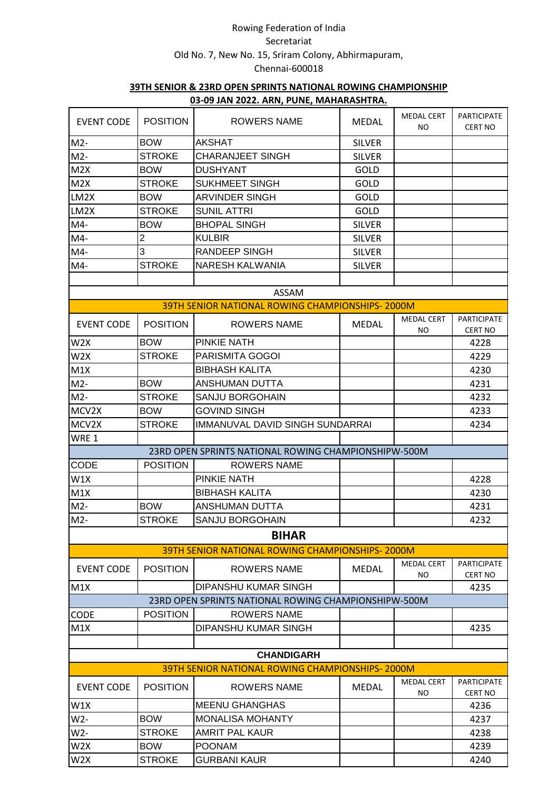|                   |                 | <u>03-09 JAN ZUZZ. ANN, PONE, MANANASHTNA.</u>         |               |                          |                                      |
|-------------------|-----------------|--------------------------------------------------------|---------------|--------------------------|--------------------------------------|
| <b>EVENT CODE</b> | <b>POSITION</b> | <b>ROWERS NAME</b>                                     | <b>MEDAL</b>  | <b>MEDAL CERT</b><br>NO. | <b>PARTICIPATE</b><br><b>CERT NO</b> |
| $M2-$             | <b>BOW</b>      | <b>AKSHAT</b>                                          | <b>SILVER</b> |                          |                                      |
| $M2-$             | <b>STROKE</b>   | <b>CHARANJEET SINGH</b>                                | <b>SILVER</b> |                          |                                      |
| M2X               | <b>BOW</b>      | <b>DUSHYANT</b>                                        | <b>GOLD</b>   |                          |                                      |
| M2X               | <b>STROKE</b>   | <b>SUKHMEET SINGH</b>                                  | <b>GOLD</b>   |                          |                                      |
| LM2X              | <b>BOW</b>      | <b>ARVINDER SINGH</b>                                  | GOLD          |                          |                                      |
| LM2X              | <b>STROKE</b>   | <b>SUNIL ATTRI</b>                                     | <b>GOLD</b>   |                          |                                      |
| $M4-$             | <b>BOW</b>      | <b>BHOPAL SINGH</b>                                    | <b>SILVER</b> |                          |                                      |
| $M4-$             | $\overline{c}$  | <b>KULBIR</b>                                          | <b>SILVER</b> |                          |                                      |
| M4-               | 3               | RANDEEP SINGH                                          | <b>SILVER</b> |                          |                                      |
| $M4-$             | <b>STROKE</b>   | NARESH KALWANIA                                        | <b>SILVER</b> |                          |                                      |
|                   |                 |                                                        |               |                          |                                      |
|                   |                 | ASSAM                                                  |               |                          |                                      |
|                   |                 | <b>39TH SENIOR NATIONAL ROWING CHAMPIONSHIPS-2000M</b> |               |                          |                                      |
|                   |                 |                                                        |               | <b>MEDAL CERT</b>        | PARTICIPATE                          |
| <b>EVENT CODE</b> | <b>POSITION</b> | ROWERS NAME                                            | <b>MEDAL</b>  | NO                       | <b>CERT NO</b>                       |
| W <sub>2</sub> X  | <b>BOW</b>      | PINKIE NATH                                            |               |                          | 4228                                 |
| W <sub>2</sub> X  | <b>STROKE</b>   | PARISMITA GOGOI                                        |               |                          | 4229                                 |
| M1X               |                 | <b>BIBHASH KALITA</b>                                  |               |                          | 4230                                 |
| $M2-$             | <b>BOW</b>      | ANSHUMAN DUTTA                                         |               |                          | 4231                                 |
| $M2-$             | <b>STROKE</b>   | SANJU BORGOHAIN                                        |               |                          | 4232                                 |
| MCV2X             | <b>BOW</b>      | <b>GOVIND SINGH</b>                                    |               |                          | 4233                                 |
| MCV2X             | <b>STROKE</b>   | <b>IMMANUVAL DAVID SINGH SUNDARRAI</b>                 |               |                          | 4234                                 |
| WRE 1             |                 |                                                        |               |                          |                                      |
|                   |                 | 23RD OPEN SPRINTS NATIONAL ROWING CHAMPIONSHIPW-500M   |               |                          |                                      |
| CODE              | <b>POSITION</b> | <b>ROWERS NAME</b>                                     |               |                          |                                      |
| W1X               |                 | PINKIE NATH                                            |               |                          | 4228                                 |
| M1X               |                 | <b>BIBHASH KALITA</b>                                  |               |                          | 4230                                 |
| $M2-$             | <b>BOW</b>      | ANSHUMAN DUTTA                                         |               |                          | 4231                                 |
| $M2-$             | <b>STROKE</b>   | SANJU BORGOHAIN                                        |               |                          | 4232                                 |
|                   |                 | <b>BIHAR</b>                                           |               |                          |                                      |
|                   |                 | <b>39TH SENIOR NATIONAL ROWING CHAMPIONSHIPS-2000M</b> |               |                          |                                      |
|                   |                 |                                                        |               | <b>MEDAL CERT</b>        | <b>PARTICIPATE</b>                   |
| <b>EVENT CODE</b> | <b>POSITION</b> | <b>ROWERS NAME</b>                                     | <b>MEDAL</b>  | ΝO                       | CERT NO                              |
| M1X               |                 | DIPANSHU KUMAR SINGH                                   |               |                          | 4235                                 |
|                   |                 | 23RD OPEN SPRINTS NATIONAL ROWING CHAMPIONSHIPW-500M   |               |                          |                                      |
| <b>CODE</b>       | <b>POSITION</b> | ROWERS NAME                                            |               |                          |                                      |
| M1X               |                 | DIPANSHU KUMAR SINGH                                   |               |                          | 4235                                 |
|                   |                 |                                                        |               |                          |                                      |
|                   |                 | <b>CHANDIGARH</b>                                      |               |                          |                                      |
|                   |                 | <b>39TH SENIOR NATIONAL ROWING CHAMPIONSHIPS-2000M</b> |               |                          |                                      |
| <b>EVENT CODE</b> | <b>POSITION</b> | <b>ROWERS NAME</b>                                     | <b>MEDAL</b>  | <b>MEDAL CERT</b><br>ΝO  | <b>PARTICIPATE</b><br>CERT NO        |
| W1X               |                 | <b>MEENU GHANGHAS</b>                                  |               |                          | 4236                                 |
| W2-               | <b>BOW</b>      | <b>MONALISA MOHANTY</b>                                |               |                          | 4237                                 |
| $W2-$             | <b>STROKE</b>   | <b>AMRIT PAL KAUR</b>                                  |               |                          | 4238                                 |
| W <sub>2</sub> X  | <b>BOW</b>      | <b>POONAM</b>                                          |               |                          | 4239                                 |
| W <sub>2</sub> X  | <b>STROKE</b>   | <b>GURBANI KAUR</b>                                    |               |                          | 4240                                 |
|                   |                 |                                                        |               |                          |                                      |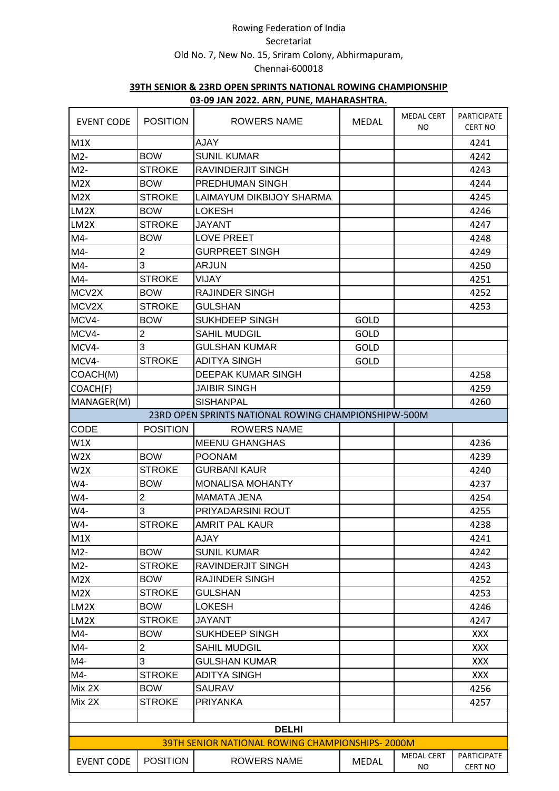| <b>EVENT CODE</b> | <b>POSITION</b> | <u>00 00 min Euchtming Fond, minimum ion fundi</u><br>ROWERS NAME | <b>MEDAL</b> | <b>MEDAL CERT</b><br>NO. | PARTICIPATE<br><b>CERT NO</b> |  |  |  |
|-------------------|-----------------|-------------------------------------------------------------------|--------------|--------------------------|-------------------------------|--|--|--|
| M1X               |                 | <b>AJAY</b>                                                       |              |                          | 4241                          |  |  |  |
| $M2-$             | <b>BOW</b>      | <b>SUNIL KUMAR</b>                                                |              |                          | 4242                          |  |  |  |
| $M2-$             | <b>STROKE</b>   | RAVINDERJIT SINGH                                                 |              |                          | 4243                          |  |  |  |
| M2X               | <b>BOW</b>      | PREDHUMAN SINGH                                                   |              |                          | 4244                          |  |  |  |
| M2X               | <b>STROKE</b>   | LAIMAYUM DIKBIJOY SHARMA                                          |              |                          | 4245                          |  |  |  |
| LM2X              | <b>BOW</b>      | LOKESH                                                            |              |                          | 4246                          |  |  |  |
| LM2X              | <b>STROKE</b>   | <b>JAYANT</b>                                                     |              |                          | 4247                          |  |  |  |
| $M4-$             | <b>BOW</b>      | <b>LOVE PREET</b>                                                 |              |                          | 4248                          |  |  |  |
| $M4-$             | $\overline{2}$  | <b>GURPREET SINGH</b>                                             |              |                          | 4249                          |  |  |  |
| $M4-$             | 3               | <b>ARJUN</b>                                                      |              |                          | 4250                          |  |  |  |
| M4-               | <b>STROKE</b>   | VIJAY                                                             |              |                          | 4251                          |  |  |  |
| MCV2X             | <b>BOW</b>      | <b>RAJINDER SINGH</b>                                             |              |                          | 4252                          |  |  |  |
| MCV2X             | <b>STROKE</b>   | <b>GULSHAN</b>                                                    |              |                          | 4253                          |  |  |  |
| MCV4-             | <b>BOW</b>      | <b>SUKHDEEP SINGH</b>                                             | GOLD         |                          |                               |  |  |  |
| MCV4-             | $\overline{c}$  | <b>SAHIL MUDGIL</b>                                               | GOLD         |                          |                               |  |  |  |
| MCV4-             | 3               | <b>GULSHAN KUMAR</b>                                              | GOLD         |                          |                               |  |  |  |
| MCV4-             | <b>STROKE</b>   | <b>ADITYA SINGH</b>                                               | <b>GOLD</b>  |                          |                               |  |  |  |
| COACH(M)          |                 | DEEPAK KUMAR SINGH                                                |              |                          | 4258                          |  |  |  |
| COACH(F)          |                 | <b>JAIBIR SINGH</b>                                               |              |                          | 4259                          |  |  |  |
| MANAGER(M)        |                 | <b>SISHANPAL</b>                                                  |              |                          | 4260                          |  |  |  |
|                   |                 | 23RD OPEN SPRINTS NATIONAL ROWING CHAMPIONSHIPW-500M              |              |                          |                               |  |  |  |
| CODE              | <b>POSITION</b> | <b>ROWERS NAME</b>                                                |              |                          |                               |  |  |  |
| W1X               |                 | <b>MEENU GHANGHAS</b>                                             |              |                          | 4236                          |  |  |  |
| W <sub>2</sub> x  | <b>BOW</b>      | <b>POONAM</b>                                                     |              |                          | 4239                          |  |  |  |
| W <sub>2</sub> X  | <b>STROKE</b>   | <b>GURBANI KAUR</b>                                               |              |                          | 4240                          |  |  |  |
| W4-               | <b>BOW</b>      | <b>MONALISA MOHANTY</b>                                           |              |                          | 4237                          |  |  |  |
| W4-               | $\overline{c}$  | <b>MAMATA JENA</b>                                                |              |                          | 4254                          |  |  |  |
| W4-               | 3               | PRIYADARSINI ROUT                                                 |              |                          | 4255                          |  |  |  |
| W4-               | <b>STROKE</b>   | <b>AMRIT PAL KAUR</b>                                             |              |                          | 4238                          |  |  |  |
| M1X               |                 | <b>AJAY</b>                                                       |              |                          | 4241                          |  |  |  |
| $M2-$             | <b>BOW</b>      | <b>SUNIL KUMAR</b>                                                |              |                          | 4242                          |  |  |  |
| $M2-$             | <b>STROKE</b>   | RAVINDERJIT SINGH                                                 |              |                          | 4243                          |  |  |  |
| M2X               | <b>BOW</b>      | <b>RAJINDER SINGH</b>                                             |              |                          | 4252                          |  |  |  |
| M2X               | <b>STROKE</b>   | <b>GULSHAN</b>                                                    |              |                          | 4253                          |  |  |  |
| LM2X              | <b>BOW</b>      | LOKESH                                                            |              |                          | 4246                          |  |  |  |
| LM2X              | <b>STROKE</b>   | <b>JAYANT</b>                                                     |              |                          | 4247                          |  |  |  |
| M4-               | <b>BOW</b>      | SUKHDEEP SINGH                                                    |              |                          | <b>XXX</b>                    |  |  |  |
| $M4-$             | $\overline{2}$  | <b>SAHIL MUDGIL</b>                                               |              |                          | <b>XXX</b>                    |  |  |  |
| M4-               | 3               | GULSHAN KUMAR                                                     |              |                          | <b>XXX</b>                    |  |  |  |
| M4-               | <b>STROKE</b>   | <b>ADITYA SINGH</b>                                               |              |                          | <b>XXX</b>                    |  |  |  |
| Mix 2X            | <b>BOW</b>      | <b>SAURAV</b>                                                     |              |                          | 4256                          |  |  |  |
| Mix 2X            | STROKE          | <b>PRIYANKA</b>                                                   |              |                          | 4257                          |  |  |  |
|                   |                 |                                                                   |              |                          |                               |  |  |  |
|                   | <b>DELHI</b>    |                                                                   |              |                          |                               |  |  |  |
|                   |                 | 39TH SENIOR NATIONAL ROWING CHAMPIONSHIPS-2000M                   |              |                          |                               |  |  |  |
| <b>EVENT CODE</b> | <b>POSITION</b> | <b>ROWERS NAME</b>                                                | <b>MEDAL</b> | <b>MEDAL CERT</b><br>NO. | <b>PARTICIPATE</b><br>CERT NO |  |  |  |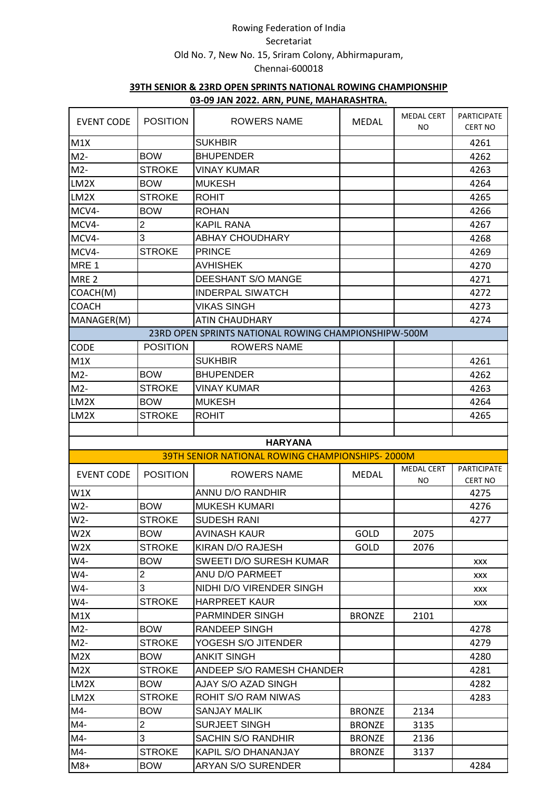|                   |                 | <u>00 00 min Euchtming Fond, minimum ion fundi</u>   |               |                          |                                      |
|-------------------|-----------------|------------------------------------------------------|---------------|--------------------------|--------------------------------------|
| <b>EVENT CODE</b> | <b>POSITION</b> | <b>ROWERS NAME</b>                                   | <b>MEDAL</b>  | <b>MEDAL CERT</b><br>NO. | <b>PARTICIPATE</b><br><b>CERT NO</b> |
| M1X               |                 | <b>SUKHBIR</b>                                       |               |                          | 4261                                 |
| $M2-$             | <b>BOW</b>      | <b>BHUPENDER</b>                                     |               |                          | 4262                                 |
| $M2-$             | <b>STROKE</b>   | <b>VINAY KUMAR</b>                                   |               |                          | 4263                                 |
| LM2X              | <b>BOW</b>      | <b>MUKESH</b>                                        |               |                          | 4264                                 |
| LM2X              | <b>STROKE</b>   | <b>ROHIT</b>                                         |               |                          | 4265                                 |
| MCV4-             | <b>BOW</b>      | <b>ROHAN</b>                                         |               |                          | 4266                                 |
| MCV4-             | $\overline{c}$  | <b>KAPIL RANA</b>                                    |               |                          | 4267                                 |
| MCV4-             | 3               | <b>ABHAY CHOUDHARY</b>                               |               |                          | 4268                                 |
| MCV4-             | <b>STROKE</b>   | <b>PRINCE</b>                                        |               |                          | 4269                                 |
| MRE <sub>1</sub>  |                 | <b>AVHISHEK</b>                                      |               |                          | 4270                                 |
| MRE <sub>2</sub>  |                 | DEESHANT S/O MANGE                                   |               |                          | 4271                                 |
| COACH(M)          |                 | <b>INDERPAL SIWATCH</b>                              |               |                          | 4272                                 |
| <b>COACH</b>      |                 | <b>VIKAS SINGH</b>                                   |               |                          | 4273                                 |
| MANAGER(M)        |                 | <b>ATIN CHAUDHARY</b>                                |               |                          | 4274                                 |
|                   |                 | 23RD OPEN SPRINTS NATIONAL ROWING CHAMPIONSHIPW-500M |               |                          |                                      |
| <b>CODE</b>       | <b>POSITION</b> | <b>ROWERS NAME</b>                                   |               |                          |                                      |
| M1X               |                 | <b>SUKHBIR</b>                                       |               |                          | 4261                                 |
| $M2-$             | <b>BOW</b>      | <b>BHUPENDER</b>                                     |               |                          | 4262                                 |
| $M2-$             | <b>STROKE</b>   | <b>VINAY KUMAR</b>                                   |               |                          | 4263                                 |
| LM2X              | <b>BOW</b>      | <b>MUKESH</b>                                        |               |                          | 4264                                 |
| LM2X              | <b>STROKE</b>   | <b>ROHIT</b>                                         |               |                          | 4265                                 |
|                   |                 |                                                      |               |                          |                                      |
|                   |                 | <b>HARYANA</b>                                       |               |                          |                                      |
|                   |                 | 39TH SENIOR NATIONAL ROWING CHAMPIONSHIPS-2000M      |               |                          |                                      |
|                   |                 |                                                      |               | <b>MEDAL CERT</b>        | <b>PARTICIPATE</b>                   |
| <b>EVENT CODE</b> | <b>POSITION</b> | <b>ROWERS NAME</b>                                   | <b>MEDAL</b>  | NO                       | <b>CERT NO</b>                       |
| W1X               |                 | <b>ANNU D/O RANDHIR</b>                              |               |                          | 4275                                 |
| W2-               | <b>BOW</b>      | <b>MUKESH KUMARI</b>                                 |               |                          | 4276                                 |
| $W2-$             | <b>STROKE</b>   | <b>SUDESH RANI</b>                                   |               |                          | 4277                                 |
| W <sub>2</sub> X  | <b>BOW</b>      | <b>AVINASH KAUR</b>                                  | GOLD          | 2075                     |                                      |
| W2X               | <b>STROKE</b>   | KIRAN D/O RAJESH                                     | GOLD          | 2076                     |                                      |
| W4-               | <b>BOW</b>      | SWEETI D/O SURESH KUMAR                              |               |                          | XXX                                  |
| W4-               | $\overline{2}$  | ANU D/O PARMEET                                      |               |                          | XXX                                  |
| W4-               | 3               | NIDHI D/O VIRENDER SINGH                             |               |                          | XXX                                  |
| W4-               | <b>STROKE</b>   | <b>HARPREET KAUR</b>                                 |               |                          | XXX                                  |
| M1X               |                 | <b>PARMINDER SINGH</b>                               | <b>BRONZE</b> | 2101                     |                                      |
| $M2-$             | <b>BOW</b>      | <b>RANDEEP SINGH</b>                                 |               |                          | 4278                                 |
| $M2-$             | <b>STROKE</b>   | YOGESH S/O JITENDER                                  |               |                          | 4279                                 |
| M2X               | <b>BOW</b>      | <b>ANKIT SINGH</b>                                   |               |                          | 4280                                 |
| M2X               | <b>STROKE</b>   | ANDEEP S/O RAMESH CHANDER                            |               |                          | 4281                                 |
| LM2X              | <b>BOW</b>      | AJAY S/O AZAD SINGH                                  |               |                          | 4282                                 |
| LM2X              | <b>STROKE</b>   | ROHIT S/O RAM NIWAS                                  |               |                          | 4283                                 |
| M4-               | <b>BOW</b>      | <b>SANJAY MALIK</b>                                  | <b>BRONZE</b> | 2134                     |                                      |
| M4-               | $\overline{c}$  | <b>SURJEET SINGH</b>                                 | <b>BRONZE</b> | 3135                     |                                      |
| M4-               | 3               | SACHIN S/O RANDHIR                                   | <b>BRONZE</b> | 2136                     |                                      |
| M4-               | <b>STROKE</b>   | KAPIL S/O DHANANJAY                                  | <b>BRONZE</b> | 3137                     |                                      |
|                   |                 |                                                      |               |                          |                                      |
| $M8+$             | <b>BOW</b>      | <b>ARYAN S/O SURENDER</b>                            |               |                          | 4284                                 |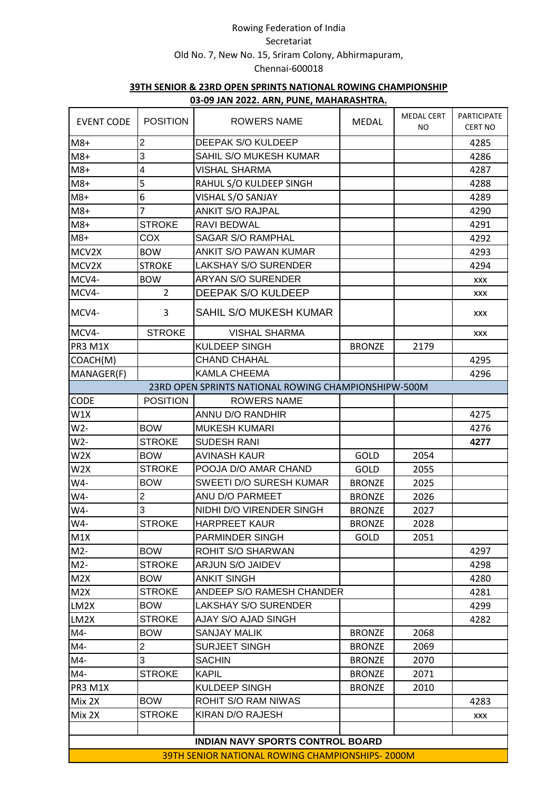| <b>EVENT CODE</b> | <b>POSITION</b>                                 | <b>ROWERS NAME</b>                                   | <b>MEDAL</b>  | <b>MEDAL CERT</b><br>NO. | <b>PARTICIPATE</b><br><b>CERT NO</b> |  |  |  |
|-------------------|-------------------------------------------------|------------------------------------------------------|---------------|--------------------------|--------------------------------------|--|--|--|
| $M8+$             | $\overline{2}$                                  | DEEPAK S/O KULDEEP                                   |               |                          | 4285                                 |  |  |  |
| $M8+$             | 3                                               | SAHIL S/O MUKESH KUMAR                               |               |                          | 4286                                 |  |  |  |
| $M8+$             | 4                                               | VISHAL SHARMA                                        |               |                          | 4287                                 |  |  |  |
| $M8+$             | $\overline{5}$                                  | RAHUL S/O KULDEEP SINGH                              |               |                          | 4288                                 |  |  |  |
| $M8+$             | 6                                               | VISHAL S/O SANJAY                                    |               |                          | 4289                                 |  |  |  |
| $M8+$             | 7                                               | <b>ANKIT S/O RAJPAL</b>                              |               |                          | 4290                                 |  |  |  |
| $M8+$             | <b>STROKE</b>                                   | RAVI BEDWAL                                          |               |                          | 4291                                 |  |  |  |
| $M8+$             | COX                                             | <b>SAGAR S/O RAMPHAL</b>                             |               |                          | 4292                                 |  |  |  |
| MCV2X             | <b>BOW</b>                                      | ANKIT S/O PAWAN KUMAR                                |               |                          | 4293                                 |  |  |  |
| MCV2X             | <b>STROKE</b>                                   | <b>LAKSHAY S/O SURENDER</b>                          |               |                          | 4294                                 |  |  |  |
| MCV4-             | <b>BOW</b>                                      | <b>ARYAN S/O SURENDER</b>                            |               |                          | XXX                                  |  |  |  |
| MCV4-             | $\overline{2}$                                  | DEEPAK S/O KULDEEP                                   |               |                          | XXX                                  |  |  |  |
| MCV4-             | 3                                               | SAHIL S/O MUKESH KUMAR                               |               |                          | <b>XXX</b>                           |  |  |  |
| MCV4-             | <b>STROKE</b>                                   | <b>VISHAL SHARMA</b>                                 |               |                          | <b>XXX</b>                           |  |  |  |
| PR3 M1X           |                                                 | <b>KULDEEP SINGH</b>                                 | <b>BRONZE</b> | 2179                     |                                      |  |  |  |
| COACH(M)          |                                                 | <b>CHAND CHAHAL</b>                                  |               |                          | 4295                                 |  |  |  |
| MANAGER(F)        |                                                 | <b>KAMLA CHEEMA</b>                                  |               |                          | 4296                                 |  |  |  |
|                   |                                                 | 23RD OPEN SPRINTS NATIONAL ROWING CHAMPIONSHIPW-500M |               |                          |                                      |  |  |  |
| <b>CODE</b>       | <b>POSITION</b>                                 | <b>ROWERS NAME</b>                                   |               |                          |                                      |  |  |  |
| W1X               |                                                 | <b>ANNU D/O RANDHIR</b>                              |               |                          | 4275                                 |  |  |  |
| $W2-$             | <b>BOW</b>                                      | <b>MUKESH KUMARI</b>                                 |               |                          | 4276                                 |  |  |  |
| W2-               | <b>STROKE</b>                                   | <b>SUDESH RANI</b>                                   |               |                          | 4277                                 |  |  |  |
| W <sub>2</sub> X  | <b>BOW</b>                                      | <b>AVINASH KAUR</b>                                  | GOLD          | 2054                     |                                      |  |  |  |
| W2X               | <b>STROKE</b>                                   | POOJA D/O AMAR CHAND                                 | <b>GOLD</b>   | 2055                     |                                      |  |  |  |
| W4-               | <b>BOW</b>                                      | SWEETI D/O SURESH KUMAR                              | <b>BRONZE</b> | 2025                     |                                      |  |  |  |
| W4-               | $\overline{2}$                                  | ANU D/O PARMEET                                      | <b>BRONZE</b> | 2026                     |                                      |  |  |  |
| W4-               | 3                                               | NIDHI D/O VIRENDER SINGH                             | <b>BRONZE</b> | 2027                     |                                      |  |  |  |
| W4-               | <b>STROKE</b>                                   | <b>HARPREET KAUR</b>                                 | <b>BRONZE</b> | 2028                     |                                      |  |  |  |
| M1X               |                                                 | PARMINDER SINGH                                      | GOLD          | 2051                     |                                      |  |  |  |
| $M2-$             | <b>BOW</b>                                      | ROHIT S/O SHARWAN                                    |               |                          | 4297                                 |  |  |  |
| $M2-$             | <b>STROKE</b>                                   | ARJUN S/O JAIDEV                                     |               |                          | 4298                                 |  |  |  |
| M2X               | <b>BOW</b>                                      | <b>ANKIT SINGH</b>                                   |               |                          | 4280                                 |  |  |  |
| M2X               | <b>STROKE</b>                                   | ANDEEP S/O RAMESH CHANDER                            |               |                          | 4281                                 |  |  |  |
| LM2X              | <b>BOW</b>                                      | LAKSHAY S/O SURENDER                                 |               |                          | 4299                                 |  |  |  |
| LM2X              | <b>STROKE</b>                                   | AJAY S/O AJAD SINGH                                  |               |                          | 4282                                 |  |  |  |
| M4-               | <b>BOW</b>                                      | <b>SANJAY MALIK</b>                                  | <b>BRONZE</b> | 2068                     |                                      |  |  |  |
| M4-               | $\overline{2}$                                  | <b>SURJEET SINGH</b>                                 | <b>BRONZE</b> | 2069                     |                                      |  |  |  |
| M4-               | 3                                               | <b>SACHIN</b>                                        | <b>BRONZE</b> | 2070                     |                                      |  |  |  |
| M4-               | <b>STROKE</b>                                   | <b>KAPIL</b>                                         | <b>BRONZE</b> | 2071                     |                                      |  |  |  |
| PR3 M1X           |                                                 | KULDEEP SINGH                                        | <b>BRONZE</b> | 2010                     |                                      |  |  |  |
| Mix 2X            | <b>BOW</b>                                      | ROHIT S/O RAM NIWAS                                  |               |                          | 4283                                 |  |  |  |
| Mix 2X            | <b>STROKE</b>                                   | KIRAN D/O RAJESH                                     |               |                          | XXX                                  |  |  |  |
|                   |                                                 |                                                      |               |                          |                                      |  |  |  |
|                   |                                                 | <b>INDIAN NAVY SPORTS CONTROL BOARD</b>              |               |                          |                                      |  |  |  |
|                   | 39TH SENIOR NATIONAL ROWING CHAMPIONSHIPS-2000M |                                                      |               |                          |                                      |  |  |  |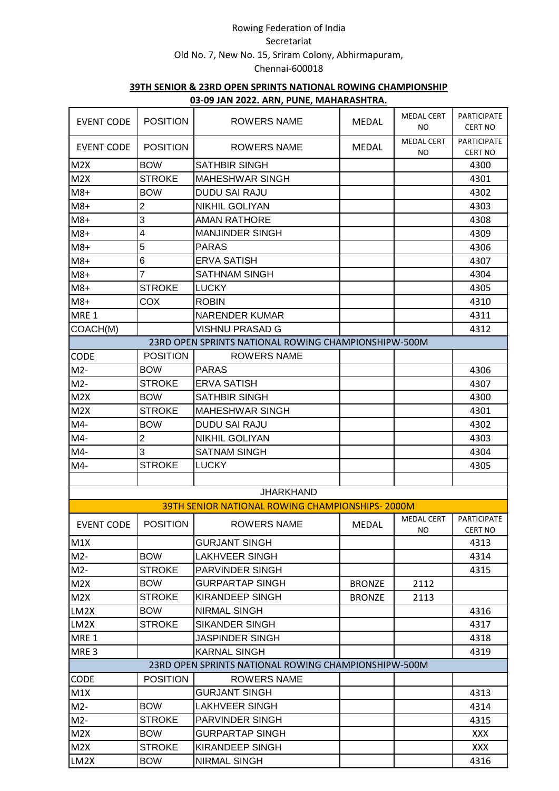|                   |                 | <u>03-03 JAN ZUZZ. ANN, FUNL, MAHANASHTINA.</u>      |               |                          |                                      |
|-------------------|-----------------|------------------------------------------------------|---------------|--------------------------|--------------------------------------|
| <b>EVENT CODE</b> | <b>POSITION</b> | ROWERS NAME                                          | <b>MEDAL</b>  | <b>MEDAL CERT</b><br>NO. | <b>PARTICIPATE</b><br><b>CERT NO</b> |
| <b>EVENT CODE</b> | <b>POSITION</b> | <b>ROWERS NAME</b>                                   | <b>MEDAL</b>  | <b>MEDAL CERT</b><br>NO  | <b>PARTICIPATE</b><br><b>CERT NO</b> |
| M2X               | <b>BOW</b>      | <b>SATHBIR SINGH</b>                                 |               |                          | 4300                                 |
| M2X               | <b>STROKE</b>   | <b>MAHESHWAR SINGH</b>                               |               |                          | 4301                                 |
| $M8+$             | <b>BOW</b>      | <b>DUDU SAI RAJU</b>                                 |               |                          | 4302                                 |
| $M8+$             | $\overline{2}$  | NIKHIL GOLIYAN                                       |               |                          | 4303                                 |
| $M8+$             | 3               | <b>AMAN RATHORE</b>                                  |               |                          | 4308                                 |
| $M8+$             | 4               | <b>MANJINDER SINGH</b>                               |               |                          | 4309                                 |
| $M8+$             | 5               | <b>PARAS</b>                                         |               |                          | 4306                                 |
| $M8+$             | 6               | <b>ERVA SATISH</b>                                   |               |                          | 4307                                 |
| $M8+$             | $\overline{7}$  | <b>SATHNAM SINGH</b>                                 |               |                          | 4304                                 |
| $M8+$             | <b>STROKE</b>   | <b>LUCKY</b>                                         |               |                          | 4305                                 |
| $M8+$             | <b>COX</b>      | <b>ROBIN</b>                                         |               |                          | 4310                                 |
| MRE 1             |                 | <b>NARENDER KUMAR</b>                                |               |                          | 4311                                 |
| COACH(M)          |                 | VISHNU PRASAD G                                      |               |                          | 4312                                 |
|                   |                 | 23RD OPEN SPRINTS NATIONAL ROWING CHAMPIONSHIPW-500M |               |                          |                                      |
| CODE              | <b>POSITION</b> | <b>ROWERS NAME</b>                                   |               |                          |                                      |
| $M2-$             | <b>BOW</b>      | <b>PARAS</b>                                         |               |                          | 4306                                 |
| $M2-$             | <b>STROKE</b>   | <b>ERVA SATISH</b>                                   |               |                          | 4307                                 |
| M2X               | <b>BOW</b>      | <b>SATHBIR SINGH</b>                                 |               |                          | 4300                                 |
| M2X               | <b>STROKE</b>   | <b>MAHESHWAR SINGH</b>                               |               |                          | 4301                                 |
| M4-               | <b>BOW</b>      | <b>DUDU SAI RAJU</b>                                 |               |                          | 4302                                 |
| $M4-$             | $\overline{2}$  | NIKHIL GOLIYAN                                       |               |                          | 4303                                 |
| $M4-$             | 3               | <b>SATNAM SINGH</b>                                  |               |                          | 4304                                 |
| $M4-$             | <b>STROKE</b>   | <b>LUCKY</b>                                         |               |                          | 4305                                 |
|                   |                 |                                                      |               |                          |                                      |
|                   |                 | <b>JHARKHAND</b>                                     |               |                          |                                      |
|                   |                 | 39TH SENIOR NATIONAL ROWING CHAMPIONSHIPS-2000M      |               |                          |                                      |
| <b>EVENT CODE</b> | <b>POSITION</b> | ROWERS NAME                                          | MEDAL         | <b>MEDAL CERT</b><br>NO. | PARTICIPATE<br><b>CERT NO</b>        |
| M1X               |                 | <b>GURJANT SINGH</b>                                 |               |                          | 4313                                 |
| $M2-$             | <b>BOW</b>      | <b>LAKHVEER SINGH</b>                                |               |                          | 4314                                 |
| $M2-$             | <b>STROKE</b>   | <b>PARVINDER SINGH</b>                               |               |                          | 4315                                 |
| M2X               | <b>BOW</b>      | GURPARTAP SINGH                                      | <b>BRONZE</b> | 2112                     |                                      |
| M2X               | <b>STROKE</b>   | KIRANDEEP SINGH                                      | <b>BRONZE</b> | 2113                     |                                      |
| LM2X              | <b>BOW</b>      | <b>NIRMAL SINGH</b>                                  |               |                          | 4316                                 |
| LM2X              | <b>STROKE</b>   | <b>SIKANDER SINGH</b>                                |               |                          | 4317                                 |
| MRE <sub>1</sub>  |                 | JASPINDER SINGH                                      |               |                          | 4318                                 |
| MRE <sub>3</sub>  |                 | <b>KARNAL SINGH</b>                                  |               |                          | 4319                                 |
|                   |                 | 23RD OPEN SPRINTS NATIONAL ROWING CHAMPIONSHIPW-500M |               |                          |                                      |
| <b>CODE</b>       | <b>POSITION</b> | <b>ROWERS NAME</b>                                   |               |                          |                                      |
| M1X               |                 | <b>GURJANT SINGH</b>                                 |               |                          | 4313                                 |
| $M2-$             | <b>BOW</b>      | LAKHVEER SINGH                                       |               |                          | 4314                                 |
| $M2-$             | <b>STROKE</b>   | PARVINDER SINGH                                      |               |                          | 4315                                 |
| M2X               | <b>BOW</b>      | GURPARTAP SINGH                                      |               |                          | XXX.                                 |
| M2X               | <b>STROKE</b>   | <b>KIRANDEEP SINGH</b>                               |               |                          | <b>XXX</b>                           |
| LM2X              | <b>BOW</b>      | <b>NIRMAL SINGH</b>                                  |               |                          | 4316                                 |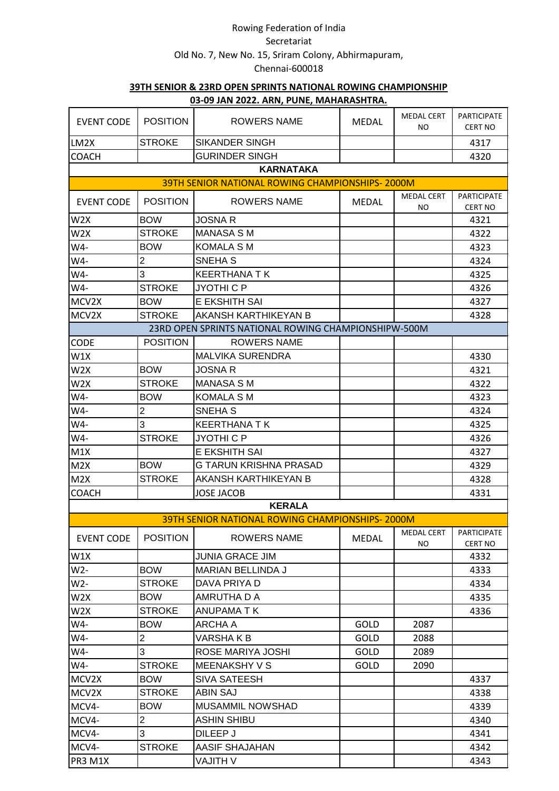|                   |                 | <u>00 00 min Euchtming roman in in in ion rum</u>      |              | <b>MEDAL CERT</b> | <b>PARTICIPATE</b> |
|-------------------|-----------------|--------------------------------------------------------|--------------|-------------------|--------------------|
| <b>EVENT CODE</b> | <b>POSITION</b> | ROWERS NAME                                            | <b>MEDAL</b> | NO.               | <b>CERT NO</b>     |
| LM2X              | <b>STROKE</b>   | <b>SIKANDER SINGH</b>                                  |              |                   | 4317               |
| <b>COACH</b>      |                 | <b>GURINDER SINGH</b>                                  |              |                   | 4320               |
|                   |                 | <b>KARNATAKA</b>                                       |              |                   |                    |
|                   |                 | <b>39TH SENIOR NATIONAL ROWING CHAMPIONSHIPS-2000M</b> |              |                   |                    |
| <b>EVENT CODE</b> | <b>POSITION</b> | <b>ROWERS NAME</b>                                     | <b>MEDAL</b> | <b>MEDAL CERT</b> | <b>PARTICIPATE</b> |
|                   |                 |                                                        |              | NO                | <b>CERT NO</b>     |
| W <sub>2</sub> X  | <b>BOW</b>      | <b>JOSNA R</b>                                         |              |                   | 4321               |
| W2X               | <b>STROKE</b>   | <b>MANASA S M</b>                                      |              |                   | 4322               |
| W4-               | <b>BOW</b>      | <b>KOMALA S M</b>                                      |              |                   | 4323               |
| W4-               | $\overline{c}$  | SNEHA S                                                |              |                   | 4324               |
| W4-               | 3               | <b>KEERTHANA TK</b>                                    |              |                   | 4325               |
| W4-               | <b>STROKE</b>   | <b>JYOTHI C P</b>                                      |              |                   | 4326               |
| MCV2X             | <b>BOW</b>      | E EKSHITH SAI                                          |              |                   | 4327               |
| MCV2X             | <b>STROKE</b>   | <b>AKANSH KARTHIKEYAN B</b>                            |              |                   | 4328               |
|                   |                 | 23RD OPEN SPRINTS NATIONAL ROWING CHAMPIONSHIPW-500M   |              |                   |                    |
| CODE              | <b>POSITION</b> | <b>ROWERS NAME</b>                                     |              |                   |                    |
| W1X               |                 | <b>MALVIKA SURENDRA</b>                                |              |                   | 4330               |
| W <sub>2</sub> X  | <b>BOW</b>      | <b>JOSNA R</b>                                         |              |                   | 4321               |
| W2X               | <b>STROKE</b>   | <b>MANASA S M</b>                                      |              |                   | 4322               |
| W4-               | <b>BOW</b>      | <b>KOMALA S M</b>                                      |              |                   | 4323               |
| W4-               | $\overline{2}$  | SNEHA <sub>S</sub>                                     |              |                   | 4324               |
| W4-               | 3               | <b>KEERTHANA T K</b>                                   |              |                   | 4325               |
| W4-               | <b>STROKE</b>   | JYOTHI C P                                             |              |                   | 4326               |
| M1X               |                 | E EKSHITH SAI                                          |              |                   | 4327               |
| M2X               | <b>BOW</b>      | G TARUN KRISHNA PRASAD                                 |              |                   | 4329               |
| M2X               | <b>STROKE</b>   | AKANSH KARTHIKEYAN B                                   |              |                   | 4328               |
| <b>COACH</b>      |                 | <b>JOSE JACOB</b>                                      |              |                   | 4331               |
|                   |                 | <b>KERALA</b>                                          |              |                   |                    |
|                   |                 | <b>39TH SENIOR NATIONAL ROWING CHAMPIONSHIPS-2000M</b> |              |                   |                    |
| <b>EVENT CODE</b> | <b>POSITION</b> | <b>ROWERS NAME</b>                                     | <b>MEDAL</b> | MEDAL CERT        | PARTICIPATE        |
|                   |                 |                                                        |              | NO.               | CERT NO            |
| W1X               |                 | <b>JUNIA GRACE JIM</b>                                 |              |                   | 4332               |
| $W2-$             | <b>BOW</b>      | <b>MARIAN BELLINDA J</b>                               |              |                   | 4333               |
| $W2-$             | <b>STROKE</b>   | DAVA PRIYA D                                           |              |                   | 4334               |
| W2X               | <b>BOW</b>      | AMRUTHA D A                                            |              |                   | 4335               |
| W2X               | <b>STROKE</b>   | ANUPAMA T K                                            |              |                   | 4336               |
| W4-               | <b>BOW</b>      | ARCHA A                                                | GOLD         | 2087              |                    |
| W4-               | $\overline{c}$  | VARSHA K B                                             | GOLD         | 2088              |                    |
| W4-               | 3               | ROSE MARIYA JOSHI                                      | GOLD         | 2089              |                    |
| W4-               | <b>STROKE</b>   | MEENAKSHY V S                                          | GOLD         | 2090              |                    |
| MCV2X             | <b>BOW</b>      | SIVA SATEESH                                           |              |                   | 4337               |
| MCV2X             | <b>STROKE</b>   | <b>ABIN SAJ</b>                                        |              |                   | 4338               |
| MCV4-             | <b>BOW</b>      | MUSAMMIL NOWSHAD                                       |              |                   | 4339               |
| MCV4-             | $\overline{2}$  | <b>ASHIN SHIBU</b>                                     |              |                   | 4340               |
| MCV4-             | 3               | DILEEP J                                               |              |                   | 4341               |
| MCV4-             | <b>STROKE</b>   | AASIF SHAJAHAN                                         |              |                   | 4342               |
| PR3 M1X           |                 | V HTILAV                                               |              |                   | 4343               |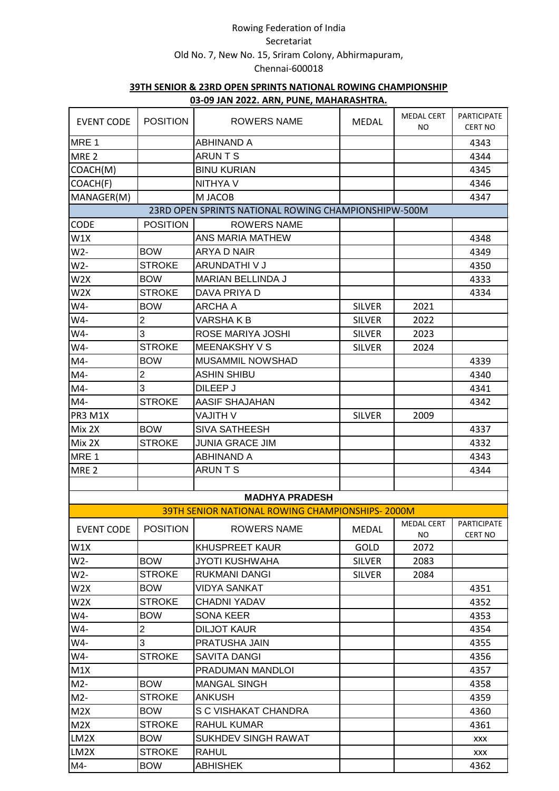|                   |                 | <u>03-03 JAN ZUZZ. ANN, FUNL, MAHANASHTINA.</u>      |               |                          |                                      |
|-------------------|-----------------|------------------------------------------------------|---------------|--------------------------|--------------------------------------|
| <b>EVENT CODE</b> | <b>POSITION</b> | <b>ROWERS NAME</b>                                   | <b>MEDAL</b>  | <b>MEDAL CERT</b><br>NO. | <b>PARTICIPATE</b><br><b>CERT NO</b> |
| MRE <sub>1</sub>  |                 | <b>ABHINAND A</b>                                    |               |                          | 4343                                 |
| MRE <sub>2</sub>  |                 | <b>ARUNTS</b>                                        |               |                          | 4344                                 |
| COACH(M)          |                 | <b>BINU KURIAN</b>                                   |               |                          | 4345                                 |
| COACH(F)          |                 | NITHYA V                                             |               |                          | 4346                                 |
| MANAGER(M)        |                 | M JACOB                                              |               |                          | 4347                                 |
|                   |                 | 23RD OPEN SPRINTS NATIONAL ROWING CHAMPIONSHIPW-500M |               |                          |                                      |
| CODE              | <b>POSITION</b> | <b>ROWERS NAME</b>                                   |               |                          |                                      |
| W1X               |                 | ANS MARIA MATHEW                                     |               |                          | 4348                                 |
| W2-               | <b>BOW</b>      | <b>ARYA D NAIR</b>                                   |               |                          | 4349                                 |
| W2-               | <b>STROKE</b>   | ARUNDATHI V J                                        |               |                          | 4350                                 |
| W <sub>2</sub> X  | <b>BOW</b>      | MARIAN BELLINDA J                                    |               |                          | 4333                                 |
| W2X               | <b>STROKE</b>   | DAVA PRIYA D                                         |               |                          | 4334                                 |
| W4-               | <b>BOW</b>      | ARCHA A                                              | <b>SILVER</b> | 2021                     |                                      |
| W4-               | $\overline{c}$  | VARSHA K B                                           | <b>SILVER</b> | 2022                     |                                      |
| W4-               | 3               | ROSE MARIYA JOSHI                                    | <b>SILVER</b> | 2023                     |                                      |
| W4-               | <b>STROKE</b>   | <b>MEENAKSHY V S</b>                                 | <b>SILVER</b> | 2024                     |                                      |
| M4-               | <b>BOW</b>      | <b>MUSAMMIL NOWSHAD</b>                              |               |                          | 4339                                 |
| $M4-$             | $\overline{2}$  | <b>ASHIN SHIBU</b>                                   |               |                          | 4340                                 |
| M4-               | 3               | DILEEP J                                             |               |                          | 4341                                 |
| M4-               | <b>STROKE</b>   | AASIF SHAJAHAN                                       |               |                          | 4342                                 |
| PR3 M1X           |                 | V HTILAV                                             | <b>SILVER</b> | 2009                     |                                      |
| Mix 2X            | <b>BOW</b>      | <b>SIVA SATHEESH</b>                                 |               |                          | 4337                                 |
| Mix 2X            | <b>STROKE</b>   | <b>JUNIA GRACE JIM</b>                               |               |                          | 4332                                 |
| MRE 1             |                 | <b>ABHINAND A</b>                                    |               |                          | 4343                                 |
| MRE <sub>2</sub>  |                 | <b>ARUNTS</b>                                        |               |                          | 4344                                 |
|                   |                 |                                                      |               |                          |                                      |
|                   |                 | <b>MADHYA PRADESH</b>                                |               |                          |                                      |
|                   |                 | 39TH SENIOR NATIONAL ROWING CHAMPIONSHIPS-2000M      |               |                          |                                      |
| <b>EVENT CODE</b> | <b>POSITION</b> | ROWERS NAME                                          | <b>MEDAL</b>  | MEDAL CERT PARTICIPATE   |                                      |
|                   |                 |                                                      |               | NO.                      | <b>CERT NO</b>                       |
| W1X               |                 | <b>KHUSPREET KAUR</b>                                | GOLD          | 2072                     |                                      |
| W2-               | <b>BOW</b>      | <b>JYOTI KUSHWAHA</b>                                | <b>SILVER</b> | 2083                     |                                      |
| W2-               | <b>STROKE</b>   | <b>RUKMANI DANGI</b>                                 | <b>SILVER</b> | 2084                     |                                      |
| W2X               | <b>BOW</b>      | VIDYA SANKAT                                         |               |                          | 4351                                 |
| W <sub>2</sub> X  | <b>STROKE</b>   | <b>CHADNI YADAV</b>                                  |               |                          | 4352                                 |
| W4-               | <b>BOW</b>      | SONA KEER                                            |               |                          | 4353                                 |
| W4-               | $\overline{c}$  | <b>DILJOT KAUR</b>                                   |               |                          | 4354                                 |
| W4-               | 3               | PRATUSHA JAIN                                        |               |                          | 4355                                 |
| W4-               | <b>STROKE</b>   | SAVITA DANGI                                         |               |                          | 4356                                 |
| M1X               |                 | PRADUMAN MANDLOI                                     |               |                          | 4357                                 |
| $M2-$             | <b>BOW</b>      | <b>MANGAL SINGH</b>                                  |               |                          | 4358                                 |
| $M2-$             | <b>STROKE</b>   | <b>ANKUSH</b>                                        |               |                          | 4359                                 |
| M2X               | <b>BOW</b>      | S C VISHAKAT CHANDRA                                 |               |                          | 4360                                 |
| M2X               | <b>STROKE</b>   | RAHUL KUMAR                                          |               |                          | 4361                                 |
| LM2X              | <b>BOW</b>      | SUKHDEV SINGH RAWAT                                  |               |                          | XXX                                  |
| LM2X              | <b>STROKE</b>   | <b>RAHUL</b>                                         |               |                          | <b>XXX</b>                           |
| M4-               | <b>BOW</b>      | <b>ABHISHEK</b>                                      |               |                          | 4362                                 |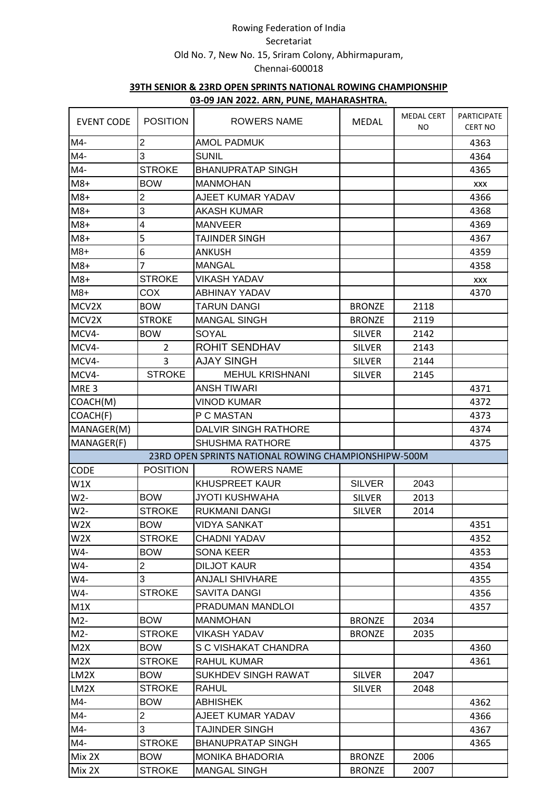|                   |                 | 00-00 JAN 2022, ANIT, I ONE, MAHAMAJITINA,           |               |                          |                                      |
|-------------------|-----------------|------------------------------------------------------|---------------|--------------------------|--------------------------------------|
| <b>EVENT CODE</b> | <b>POSITION</b> | <b>ROWERS NAME</b>                                   | <b>MEDAL</b>  | <b>MEDAL CERT</b><br>NO. | <b>PARTICIPATE</b><br><b>CERT NO</b> |
| M4-               | $\overline{c}$  | <b>AMOL PADMUK</b>                                   |               |                          | 4363                                 |
| M4-               | 3               | <b>SUNIL</b>                                         |               |                          | 4364                                 |
| M4-               | <b>STROKE</b>   | <b>BHANUPRATAP SINGH</b>                             |               |                          | 4365                                 |
| $M8+$             | <b>BOW</b>      | <b>MANMOHAN</b>                                      |               |                          | <b>XXX</b>                           |
| $M8+$             | $\overline{2}$  | AJEET KUMAR YADAV                                    |               |                          | 4366                                 |
| $M8+$             | 3               | <b>AKASH KUMAR</b>                                   |               |                          | 4368                                 |
| $M8+$             | 4               | <b>MANVEER</b>                                       |               |                          | 4369                                 |
| $M8+$             | 5               | TAJINDER SINGH                                       |               |                          | 4367                                 |
| $M8+$             | 6               | <b>ANKUSH</b>                                        |               |                          | 4359                                 |
| $M8+$             | 7               | <b>MANGAL</b>                                        |               |                          | 4358                                 |
| $M8+$             | <b>STROKE</b>   | <b>VIKASH YADAV</b>                                  |               |                          | <b>XXX</b>                           |
| $M8+$             | COX             | <b>ABHINAY YADAV</b>                                 |               |                          | 4370                                 |
| MCV2X             | <b>BOW</b>      | <b>TARUN DANGI</b>                                   | <b>BRONZE</b> | 2118                     |                                      |
| MCV2X             | <b>STROKE</b>   | <b>MANGAL SINGH</b>                                  | <b>BRONZE</b> | 2119                     |                                      |
| MCV4-             | <b>BOW</b>      | SOYAL                                                | <b>SILVER</b> | 2142                     |                                      |
| MCV4-             | $\overline{2}$  | <b>ROHIT SENDHAV</b>                                 | <b>SILVER</b> | 2143                     |                                      |
| MCV4-             | $\overline{3}$  | <b>AJAY SINGH</b>                                    | <b>SILVER</b> | 2144                     |                                      |
| MCV4-             | <b>STROKE</b>   | <b>MEHUL KRISHNANI</b>                               | <b>SILVER</b> | 2145                     |                                      |
| MRE <sub>3</sub>  |                 | <b>ANSH TIWARI</b>                                   |               |                          | 4371                                 |
| COACH(M)          |                 | <b>VINOD KUMAR</b>                                   |               |                          | 4372                                 |
| COACH(F)          |                 | P C MASTAN                                           |               |                          | 4373                                 |
| MANAGER(M)        |                 | <b>DALVIR SINGH RATHORE</b>                          |               |                          | 4374                                 |
| MANAGER(F)        |                 | <b>SHUSHMA RATHORE</b>                               |               |                          | 4375                                 |
|                   |                 | 23RD OPEN SPRINTS NATIONAL ROWING CHAMPIONSHIPW-500M |               |                          |                                      |
| <b>CODE</b>       | <b>POSITION</b> | <b>ROWERS NAME</b>                                   |               |                          |                                      |
| W1X               |                 | <b>KHUSPREET KAUR</b>                                | <b>SILVER</b> | 2043                     |                                      |
| W2-               | <b>BOW</b>      | <b>JYOTI KUSHWAHA</b>                                | <b>SILVER</b> | 2013                     |                                      |
| W2-               | <b>STROKE</b>   | <b>RUKMANI DANGI</b>                                 | <b>SILVER</b> | 2014                     |                                      |
| W2X               | <b>BOW</b>      | <b>VIDYA SANKAT</b>                                  |               |                          | 4351                                 |
| W <sub>2</sub> X  | <b>STROKE</b>   | <b>CHADNI YADAV</b>                                  |               |                          |                                      |
| W4-               | <b>BOW</b>      | <b>SONA KEER</b>                                     |               |                          | 4352                                 |
|                   | $\overline{c}$  | <b>DILJOT KAUR</b>                                   |               |                          | 4353                                 |
| W4-<br>W4-        | 3               | <b>ANJALI SHIVHARE</b>                               |               |                          | 4354                                 |
|                   |                 |                                                      |               |                          | 4355                                 |
| W4-               | <b>STROKE</b>   | <b>SAVITA DANGI</b>                                  |               |                          | 4356                                 |
| M1X               |                 | PRADUMAN MANDLOI                                     |               |                          | 4357                                 |
| $M2-$             | <b>BOW</b>      | <b>MANMOHAN</b>                                      | <b>BRONZE</b> | 2034                     |                                      |
| $M2-$             | <b>STROKE</b>   | <b>VIKASH YADAV</b>                                  | <b>BRONZE</b> | 2035                     |                                      |
| M2X               | <b>BOW</b>      | S C VISHAKAT CHANDRA                                 |               |                          | 4360                                 |
| M2X               | <b>STROKE</b>   | <b>RAHUL KUMAR</b>                                   |               |                          | 4361                                 |
| LM2X              | <b>BOW</b>      | <b>SUKHDEV SINGH RAWAT</b>                           | <b>SILVER</b> | 2047                     |                                      |
| LM2X              | <b>STROKE</b>   | RAHUL                                                | <b>SILVER</b> | 2048                     |                                      |
| M4-               | <b>BOW</b>      | <b>ABHISHEK</b>                                      |               |                          | 4362                                 |
| M4-               | $\overline{2}$  | AJEET KUMAR YADAV                                    |               |                          | 4366                                 |
| M4-               | 3               | TAJINDER SINGH                                       |               |                          | 4367                                 |
| M4-               | <b>STROKE</b>   | <b>BHANUPRATAP SINGH</b>                             |               |                          | 4365                                 |
| Mix 2X            | <b>BOW</b>      | <b>MONIKA BHADORIA</b>                               | <b>BRONZE</b> | 2006                     |                                      |
| Mix 2X            | <b>STROKE</b>   | <b>MANGAL SINGH</b>                                  | <b>BRONZE</b> | 2007                     |                                      |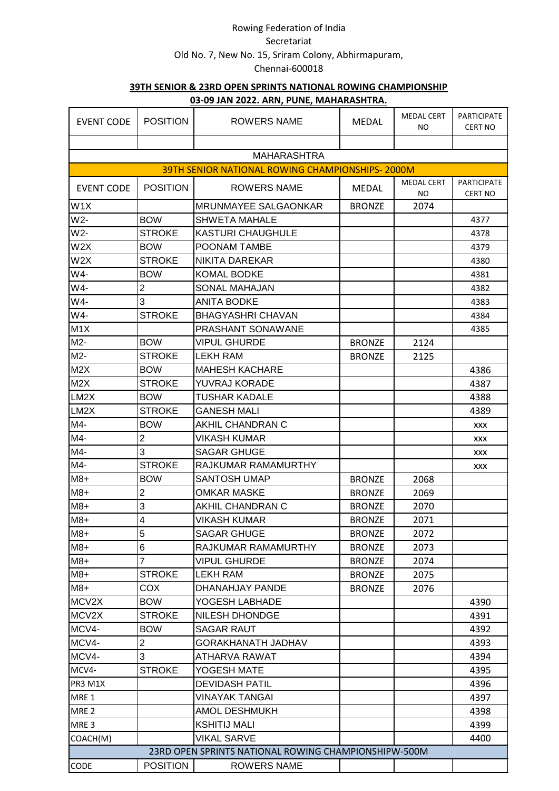| <b>EVENT CODE</b> | <b>POSITION</b>         | ROWERS NAME                                            | <b>MEDAL</b>  | <b>MEDAL CERT</b><br>ΝO | <b>PARTICIPATE</b><br><b>CERT NO</b> |
|-------------------|-------------------------|--------------------------------------------------------|---------------|-------------------------|--------------------------------------|
|                   |                         |                                                        |               |                         |                                      |
|                   |                         | <b>MAHARASHTRA</b>                                     |               |                         |                                      |
|                   |                         | <b>39TH SENIOR NATIONAL ROWING CHAMPIONSHIPS-2000M</b> |               |                         |                                      |
| <b>EVENT CODE</b> | <b>POSITION</b>         | <b>ROWERS NAME</b>                                     | <b>MEDAL</b>  | <b>MEDAL CERT</b><br>NO | <b>PARTICIPATE</b><br><b>CERT NO</b> |
| W1X               |                         | <b>MRUNMAYEE SALGAONKAR</b>                            | <b>BRONZE</b> | 2074                    |                                      |
| W2-               | <b>BOW</b>              | SHWETA MAHALE                                          |               |                         | 4377                                 |
| W2-               | <b>STROKE</b>           | <b>KASTURI CHAUGHULE</b>                               |               |                         | 4378                                 |
| W2X               | <b>BOW</b>              | POONAM TAMBE                                           |               |                         | 4379                                 |
| W2X               | <b>STROKE</b>           | NIKITA DAREKAR                                         |               |                         | 4380                                 |
| W4-               | <b>BOW</b>              | <b>KOMAL BODKE</b>                                     |               |                         | 4381                                 |
| W4-               | $\overline{2}$          | SONAL MAHAJAN                                          |               |                         | 4382                                 |
| W4-               | 3                       | <b>ANITA BODKE</b>                                     |               |                         | 4383                                 |
| W4-               | <b>STROKE</b>           | <b>BHAGYASHRI CHAVAN</b>                               |               |                         | 4384                                 |
| M <sub>1</sub> X  |                         | PRASHANT SONAWANE                                      |               |                         | 4385                                 |
| M2-               | <b>BOW</b>              | VIPUL GHURDE                                           | <b>BRONZE</b> | 2124                    |                                      |
| $M2-$             | <b>STROKE</b>           | <b>LEKH RAM</b>                                        | <b>BRONZE</b> | 2125                    |                                      |
| M <sub>2</sub> X  | <b>BOW</b>              | <b>MAHESH KACHARE</b>                                  |               |                         | 4386                                 |
| M2X               | <b>STROKE</b>           | YUVRAJ KORADE                                          |               |                         | 4387                                 |
| LM2X              | <b>BOW</b>              | TUSHAR KADALE                                          |               |                         | 4388                                 |
| LM2X              | <b>STROKE</b>           | GANESH MALI                                            |               |                         | 4389                                 |
| M4-               | <b>BOW</b>              | AKHIL CHANDRAN C                                       |               |                         | XXX                                  |
| M4-               | $\overline{2}$          | VIKASH KUMAR                                           |               |                         | XXX                                  |
| M4-               | 3                       | <b>SAGAR GHUGE</b>                                     |               |                         | XXX                                  |
| M4-               | <b>STROKE</b>           | RAJKUMAR RAMAMURTHY                                    |               |                         | XXX                                  |
| $M8+$             | <b>BOW</b>              | SANTOSH UMAP                                           | <b>BRONZE</b> | 2068                    |                                      |
| $M8+$             | $\overline{2}$          | <b>OMKAR MASKE</b>                                     | <b>BRONZE</b> | 2069                    |                                      |
| $M8+$             | 3                       | AKHIL CHANDRAN C                                       | <b>BRONZE</b> | 2070                    |                                      |
| $M8+$             | $\overline{\mathbf{4}}$ | VIKASH KUMAR                                           | <b>BRONZE</b> | 2071                    |                                      |
| $M8+$             | 5                       | <b>SAGAR GHUGE</b>                                     | <b>BRONZE</b> | 2072                    |                                      |
| $M8+$             | $6\phantom{1}6$         | RAJKUMAR RAMAMURTHY                                    | <b>BRONZE</b> | 2073                    |                                      |
| $M8+$             | $\overline{7}$          | <b>VIPUL GHURDE</b>                                    | <b>BRONZE</b> | 2074                    |                                      |
| $M8+$             | <b>STROKE</b>           | LEKH RAM                                               | <b>BRONZE</b> | 2075                    |                                      |
| $M8+$             | <b>COX</b>              | <b>DHANAHJAY PANDE</b>                                 | <b>BRONZE</b> | 2076                    |                                      |
| MCV2X             | <b>BOW</b>              | YOGESH LABHADE                                         |               |                         | 4390                                 |
| MCV2X             | <b>STROKE</b>           | NILESH DHONDGE                                         |               |                         | 4391                                 |
| MCV4-             | <b>BOW</b>              | SAGAR RAUT                                             |               |                         | 4392                                 |
| MCV4-             | $\overline{2}$          | GORAKHANATH JADHAV                                     |               |                         | 4393                                 |
| MCV4-             | 3                       | ATHARVA RAWAT                                          |               |                         | 4394                                 |
| MCV4-             | <b>STROKE</b>           | YOGESH MATE                                            |               |                         | 4395                                 |
| PR3 M1X           |                         | <b>DEVIDASH PATIL</b>                                  |               |                         | 4396                                 |
| MRE 1             |                         | VINAYAK TANGAI                                         |               |                         | 4397                                 |
| MRE <sub>2</sub>  |                         | <b>AMOL DESHMUKH</b>                                   |               |                         | 4398                                 |
| MRE <sub>3</sub>  |                         | <b>KSHITIJ MALI</b>                                    |               |                         | 4399                                 |
| COACH(M)          |                         | VIKAL SARVE                                            |               |                         | 4400                                 |
|                   |                         | 23RD OPEN SPRINTS NATIONAL ROWING CHAMPIONSHIPW-500M   |               |                         |                                      |
| CODE              | <b>POSITION</b>         | <b>ROWERS NAME</b>                                     |               |                         |                                      |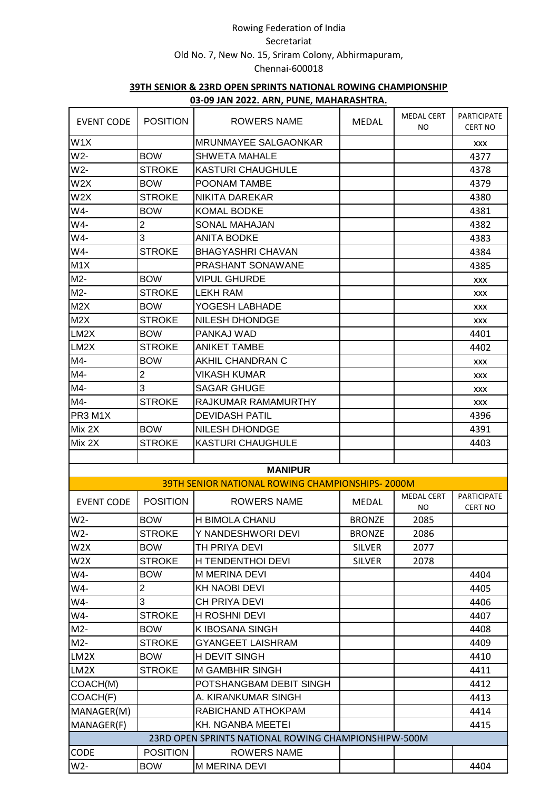|                   |                         | <u>03-09 JAIN ZUZZ. ANIV, FUINL, IVIANANAJNI INA.</u>  |               |                          |                                      |
|-------------------|-------------------------|--------------------------------------------------------|---------------|--------------------------|--------------------------------------|
| <b>EVENT CODE</b> | <b>POSITION</b>         | ROWERS NAME                                            | <b>MEDAL</b>  | <b>MEDAL CERT</b><br>NO. | <b>PARTICIPATE</b><br><b>CERT NO</b> |
| W <sub>1</sub> X  |                         | MRUNMAYEE SALGAONKAR                                   |               |                          | XXX                                  |
| W <sub>2</sub> -  | <b>BOW</b>              | <b>SHWETA MAHALE</b>                                   |               |                          | 4377                                 |
| W <sub>2</sub> -  | <b>STROKE</b>           | <b>KASTURI CHAUGHULE</b>                               |               |                          | 4378                                 |
| W2X               | <b>BOW</b>              | POONAM TAMBE                                           |               |                          | 4379                                 |
| W2X               | <b>STROKE</b>           | <b>NIKITA DAREKAR</b>                                  |               |                          | 4380                                 |
| W4-               | <b>BOW</b>              | <b>KOMAL BODKE</b>                                     |               |                          | 4381                                 |
| W4-               | $\overline{2}$          | <b>SONAL MAHAJAN</b>                                   |               |                          | 4382                                 |
| W4-               | 3                       | <b>ANITA BODKE</b>                                     |               |                          | 4383                                 |
| W4-               | <b>STROKE</b>           | <b>BHAGYASHRI CHAVAN</b>                               |               |                          | 4384                                 |
| M <sub>1</sub> X  |                         | PRASHANT SONAWANE                                      |               |                          | 4385                                 |
| M2-               | <b>BOW</b>              | <b>VIPUL GHURDE</b>                                    |               |                          | <b>XXX</b>                           |
| M2-               | <b>STROKE</b>           | <b>LEKH RAM</b>                                        |               |                          | <b>XXX</b>                           |
| M2X               | <b>BOW</b>              | YOGESH LABHADE                                         |               |                          | <b>XXX</b>                           |
| M2X               | <b>STROKE</b>           | <b>NILESH DHONDGE</b>                                  |               |                          | <b>XXX</b>                           |
| LM2X              | <b>BOW</b>              | PANKAJ WAD                                             |               |                          | 4401                                 |
| LM2X              | <b>STROKE</b>           | <b>ANIKET TAMBE</b>                                    |               |                          | 4402                                 |
| M4-               | <b>BOW</b>              | AKHIL CHANDRAN C                                       |               |                          | <b>XXX</b>                           |
| M4-               | $\overline{2}$          | VIKASH KUMAR                                           |               |                          | <b>XXX</b>                           |
| M4-               | 3                       | <b>SAGAR GHUGE</b>                                     |               |                          | <b>XXX</b>                           |
| M4-               | <b>STROKE</b>           | RAJKUMAR RAMAMURTHY                                    |               |                          | <b>XXX</b>                           |
| PR3 M1X           |                         | <b>DEVIDASH PATIL</b>                                  |               |                          | 4396                                 |
| Mix 2X            | <b>BOW</b>              | <b>NILESH DHONDGE</b>                                  |               |                          | 4391                                 |
| Mix 2X            | <b>STROKE</b>           | <b>KASTURI CHAUGHULE</b>                               |               |                          | 4403                                 |
|                   |                         |                                                        |               |                          |                                      |
|                   |                         | <b>MANIPUR</b>                                         |               |                          |                                      |
|                   |                         | <b>39TH SENIOR NATIONAL ROWING CHAMPIONSHIPS-2000M</b> |               |                          |                                      |
|                   |                         |                                                        |               | <b>MEDAL CERT</b>        | <b>PARTICIPATE</b>                   |
| <b>EVENT CODE</b> | <b>POSITION</b>         | <b>ROWERS NAME</b>                                     | <b>MEDAL</b>  | NO                       | <b>CERT NO</b>                       |
| $W2-$             | <b>BOW</b>              | H BIMOLA CHANU                                         | <b>BRONZE</b> | 2085                     |                                      |
| W2-               | <b>STROKE</b>           | Y NANDESHWORI DEVI                                     | <b>BRONZE</b> | 2086                     |                                      |
| W2X               | <b>BOW</b>              | TH PRIYA DEVI                                          | <b>SILVER</b> | 2077                     |                                      |
| W <sub>2</sub> X  | <b>STROKE</b>           | H TENDENTHOI DEVI                                      | <b>SILVER</b> | 2078                     |                                      |
| W4-               | <b>BOW</b>              | M MERINA DEVI                                          |               |                          | 4404                                 |
| W4-               | $\overline{\mathbf{c}}$ | KH NAOBI DEVI                                          |               |                          | 4405                                 |
| W4-               | 3                       | CH PRIYA DEVI                                          |               |                          | 4406                                 |
| W4-               | <b>STROKE</b>           | <b>H ROSHNI DEVI</b>                                   |               |                          | 4407                                 |
| $M2-$             | <b>BOW</b>              | K IBOSANA SINGH                                        |               |                          | 4408                                 |
| $M2-$             | <b>STROKE</b>           | GYANGEET LAISHRAM                                      |               |                          | 4409                                 |
| LM2X              | <b>BOW</b>              | H DEVIT SINGH                                          |               |                          | 4410                                 |
| LM2X              | <b>STROKE</b>           | <b>M GAMBHIR SINGH</b>                                 |               |                          | 4411                                 |
| COACH(M)          |                         | POTSHANGBAM DEBIT SINGH                                |               |                          | 4412                                 |
| COACH(F)          |                         | A. KIRANKUMAR SINGH                                    |               |                          | 4413                                 |
| MANAGER(M)        |                         | RABICHAND ATHOKPAM                                     |               |                          | 4414                                 |
| MANAGER(F)        |                         | <b>KH. NGANBA MEETEI</b>                               |               |                          | 4415                                 |
|                   |                         | 23RD OPEN SPRINTS NATIONAL ROWING CHAMPIONSHIPW-500M   |               |                          |                                      |
| <b>CODE</b>       | <b>POSITION</b>         | <b>ROWERS NAME</b>                                     |               |                          |                                      |
| W2-               | <b>BOW</b>              | <b>M MERINA DEVI</b>                                   |               |                          | 4404                                 |
|                   |                         |                                                        |               |                          |                                      |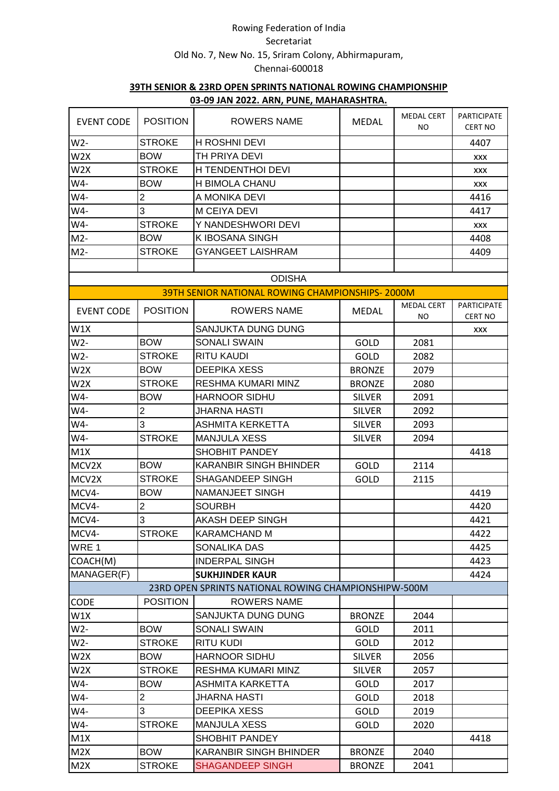|                   |                 | <u>00-00 JAN EULL. ANN, LONE, MAHAMAJITINA.</u>      |               |                          |                                      |
|-------------------|-----------------|------------------------------------------------------|---------------|--------------------------|--------------------------------------|
| <b>EVENT CODE</b> | <b>POSITION</b> | ROWERS NAME                                          | <b>MEDAL</b>  | <b>MEDAL CERT</b><br>NO. | <b>PARTICIPATE</b><br><b>CERT NO</b> |
| $W2-$             | <b>STROKE</b>   | <b>H ROSHNI DEVI</b>                                 |               |                          | 4407                                 |
| W <sub>2</sub> X  | <b>BOW</b>      | TH PRIYA DEVI                                        |               |                          | XXX                                  |
| W <sub>2</sub> X  | <b>STROKE</b>   | H TENDENTHOI DEVI                                    |               |                          | XXX                                  |
| W4-               | <b>BOW</b>      | H BIMOLA CHANU                                       |               |                          | XXX                                  |
| W4-               | $\overline{2}$  | A MONIKA DEVI                                        |               |                          | 4416                                 |
| W4-               | 3               | <b>M CEIYA DEVI</b>                                  |               |                          | 4417                                 |
| W4-               | <b>STROKE</b>   | Y NANDESHWORI DEVI                                   |               |                          | XXX                                  |
| $M2-$             | <b>BOW</b>      | K IBOSANA SINGH                                      |               |                          | 4408                                 |
| $M2-$             | <b>STROKE</b>   | <b>GYANGEET LAISHRAM</b>                             |               |                          | 4409                                 |
|                   |                 |                                                      |               |                          |                                      |
|                   |                 | <b>ODISHA</b>                                        |               |                          |                                      |
|                   |                 | 39TH SENIOR NATIONAL ROWING CHAMPIONSHIPS-2000M      |               |                          |                                      |
| <b>EVENT CODE</b> | <b>POSITION</b> | <b>ROWERS NAME</b>                                   | <b>MEDAL</b>  | <b>MEDAL CERT</b><br>NO  | <b>PARTICIPATE</b><br><b>CERT NO</b> |
| W1X               |                 | SANJUKTA DUNG DUNG                                   |               |                          | XXX                                  |
| W2-               | <b>BOW</b>      | <b>SONALI SWAIN</b>                                  | GOLD          | 2081                     |                                      |
| W2-               | <b>STROKE</b>   | <b>RITU KAUDI</b>                                    | GOLD          | 2082                     |                                      |
| W <sub>2</sub> X  | <b>BOW</b>      | <b>DEEPIKA XESS</b>                                  | <b>BRONZE</b> | 2079                     |                                      |
| W <sub>2</sub> X  | <b>STROKE</b>   | RESHMA KUMARI MINZ                                   | <b>BRONZE</b> | 2080                     |                                      |
| W4-               | <b>BOW</b>      | <b>HARNOOR SIDHU</b>                                 | <b>SILVER</b> | 2091                     |                                      |
| W4-               | $\overline{2}$  | <b>JHARNA HASTI</b>                                  | <b>SILVER</b> | 2092                     |                                      |
| W4-               | 3               | ASHMITA KERKETTA                                     | <b>SILVER</b> | 2093                     |                                      |
| W4-               | <b>STROKE</b>   | <b>MANJULA XESS</b>                                  | <b>SILVER</b> | 2094                     |                                      |
| M1X               |                 | SHOBHIT PANDEY                                       |               |                          | 4418                                 |
| MCV2X             | <b>BOW</b>      | <b>KARANBIR SINGH BHINDER</b>                        | GOLD          | 2114                     |                                      |
| MCV2X             | <b>STROKE</b>   | SHAGANDEEP SINGH                                     | <b>GOLD</b>   | 2115                     |                                      |
| MCV4-             | <b>BOW</b>      | NAMANJEET SINGH                                      |               |                          | 4419                                 |
| MCV4-             | $\overline{2}$  | <b>SOURBH</b>                                        |               |                          | 4420                                 |
| MCV4-             | 3               | AKASH DEEP SINGH                                     |               |                          | 4421                                 |
| MCV4-             | <b>STROKE</b>   | <b>KARAMCHAND M</b>                                  |               |                          | 4422                                 |
| WRE 1             |                 | SONALIKA DAS                                         |               |                          | 4425                                 |
| COACH(M)          |                 | <b>INDERPAL SINGH</b>                                |               |                          | 4423                                 |
| MANAGER(F)        |                 | <b>SUKHJINDER KAUR</b>                               |               |                          | 4424                                 |
|                   |                 | 23RD OPEN SPRINTS NATIONAL ROWING CHAMPIONSHIPW-500M |               |                          |                                      |
| CODE              | <b>POSITION</b> | <b>ROWERS NAME</b>                                   |               |                          |                                      |
| W1X               |                 | SANJUKTA DUNG DUNG                                   | <b>BRONZE</b> | 2044                     |                                      |
| $W2-$             | <b>BOW</b>      | <b>SONALI SWAIN</b>                                  | GOLD          | 2011                     |                                      |
| W2-               | <b>STROKE</b>   | <b>RITU KUDI</b>                                     | GOLD          | 2012                     |                                      |
| W2X               | <b>BOW</b>      | <b>HARNOOR SIDHU</b>                                 | <b>SILVER</b> | 2056                     |                                      |
| W2X               | <b>STROKE</b>   | RESHMA KUMARI MINZ                                   | <b>SILVER</b> | 2057                     |                                      |
| W4-               | <b>BOW</b>      | ASHMITA KARKETTA                                     | GOLD          | 2017                     |                                      |
| W4-               | $\overline{2}$  | <b>JHARNA HASTI</b>                                  | GOLD          | 2018                     |                                      |
| W4-               | 3               | <b>DEEPIKA XESS</b>                                  | GOLD          | 2019                     |                                      |
| W4-               | <b>STROKE</b>   | <b>MANJULA XESS</b>                                  | GOLD          | 2020                     |                                      |
| M1X               |                 | SHOBHIT PANDEY                                       |               |                          | 4418                                 |
| M2X               | <b>BOW</b>      | KARANBIR SINGH BHINDER                               | <b>BRONZE</b> | 2040                     |                                      |
| M2X               | <b>STROKE</b>   | <b>SHAGANDEEP SINGH</b>                              | <b>BRONZE</b> | 2041                     |                                      |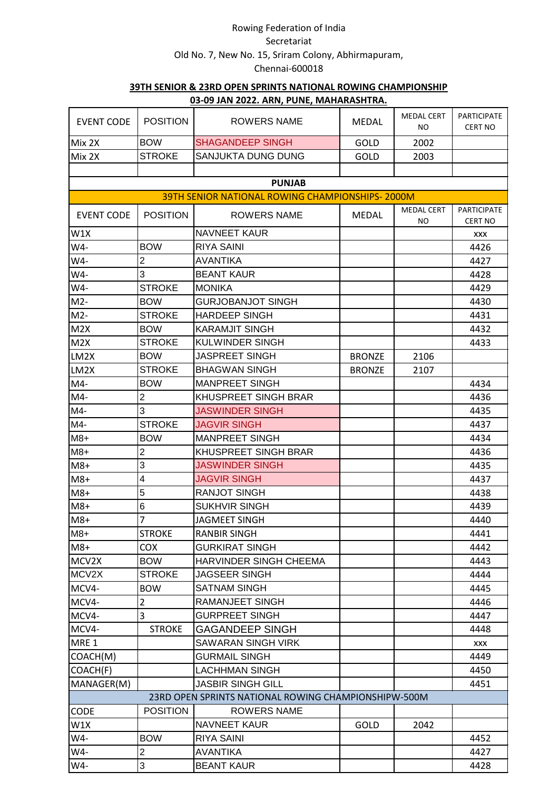| <b>EVENT CODE</b> | <b>POSITION</b> | <b>ROWERS NAME</b>                                     | <b>MEDAL</b>  | <b>MEDAL CERT</b><br>NO. | <b>PARTICIPATE</b><br><b>CERT NO</b> |
|-------------------|-----------------|--------------------------------------------------------|---------------|--------------------------|--------------------------------------|
| Mix 2X            | <b>BOW</b>      | <b>SHAGANDEEP SINGH</b>                                | GOLD          | 2002                     |                                      |
| Mix 2X            | <b>STROKE</b>   | SANJUKTA DUNG DUNG                                     | <b>GOLD</b>   | 2003                     |                                      |
|                   |                 |                                                        |               |                          |                                      |
|                   |                 | <b>PUNJAB</b>                                          |               |                          |                                      |
|                   |                 | <b>39TH SENIOR NATIONAL ROWING CHAMPIONSHIPS-2000M</b> |               |                          |                                      |
| <b>EVENT CODE</b> | <b>POSITION</b> | <b>ROWERS NAME</b>                                     | <b>MEDAL</b>  | <b>MEDAL CERT</b><br>NO. | <b>PARTICIPATE</b><br><b>CERT NO</b> |
| W1X               |                 | <b>NAVNEET KAUR</b>                                    |               |                          | XXX                                  |
| W4-               | <b>BOW</b>      | <b>RIYA SAINI</b>                                      |               |                          | 4426                                 |
| W4-               | $\overline{2}$  | <b>AVANTIKA</b>                                        |               |                          | 4427                                 |
| W4-               | 3               | <b>BEANT KAUR</b>                                      |               |                          | 4428                                 |
| W4-               | <b>STROKE</b>   | <b>MONIKA</b>                                          |               |                          | 4429                                 |
| $M2-$             | <b>BOW</b>      | <b>GURJOBANJOT SINGH</b>                               |               |                          | 4430                                 |
| $M2-$             | <b>STROKE</b>   | <b>HARDEEP SINGH</b>                                   |               |                          | 4431                                 |
| M2X               | <b>BOW</b>      | <b>KARAMJIT SINGH</b>                                  |               |                          | 4432                                 |
| M2X               | <b>STROKE</b>   | <b>KULWINDER SINGH</b>                                 |               |                          | 4433                                 |
| LM2X              | <b>BOW</b>      | <b>JASPREET SINGH</b>                                  | <b>BRONZE</b> | 2106                     |                                      |
| LM2X              | <b>STROKE</b>   | <b>BHAGWAN SINGH</b>                                   | <b>BRONZE</b> | 2107                     |                                      |
| $M4-$             | <b>BOW</b>      | <b>MANPREET SINGH</b>                                  |               |                          | 4434                                 |
| $M4-$             | $\overline{c}$  | KHUSPREET SINGH BRAR                                   |               |                          | 4436                                 |
| M4-               | 3               | <b>JASWINDER SINGH</b>                                 |               |                          | 4435                                 |
| M4-               | <b>STROKE</b>   | <b>JAGVIR SINGH</b>                                    |               |                          | 4437                                 |
| $M8+$             | <b>BOW</b>      | <b>MANPREET SINGH</b>                                  |               |                          | 4434                                 |
| $M8+$             | $\overline{2}$  | KHUSPREET SINGH BRAR                                   |               |                          | 4436                                 |
| $M8+$             | 3               | <b>JASWINDER SINGH</b>                                 |               |                          | 4435                                 |
| $M8+$             | 4               | <b>JAGVIR SINGH</b>                                    |               |                          | 4437                                 |
| $M8+$             | 5               | <b>RANJOT SINGH</b>                                    |               |                          | 4438                                 |
| $M8+$             | 6               | <b>SUKHVIR SINGH</b>                                   |               |                          | 4439                                 |
| $M8+$             | $\overline{7}$  | <b>JAGMEET SINGH</b>                                   |               |                          | 4440                                 |
| $M8+$             | <b>STROKE</b>   | <b>RANBIR SINGH</b>                                    |               |                          | 4441                                 |
| $M8+$             | <b>COX</b>      | <b>GURKIRAT SINGH</b>                                  |               |                          | 4442                                 |
| MCV2X             | <b>BOW</b>      | <b>HARVINDER SINGH CHEEMA</b>                          |               |                          | 4443                                 |
| MCV2X             | <b>STROKE</b>   | JAGSEER SINGH                                          |               |                          | 4444                                 |
| MCV4-             | <b>BOW</b>      | <b>SATNAM SINGH</b>                                    |               |                          | 4445                                 |
| MCV4-             | $\overline{2}$  | RAMANJEET SINGH                                        |               |                          | 4446                                 |
| MCV4-             | 3               | <b>GURPREET SINGH</b>                                  |               |                          | 4447                                 |
| MCV4-             | <b>STROKE</b>   | <b>GAGANDEEP SINGH</b>                                 |               |                          | 4448                                 |
| MRE 1             |                 | <b>SAWARAN SINGH VIRK</b>                              |               |                          | XXX                                  |
| COACH(M)          |                 | GURMAIL SINGH                                          |               |                          | 4449                                 |
| COACH(F)          |                 | <b>LACHHMAN SINGH</b>                                  |               |                          | 4450                                 |
| MANAGER(M)        |                 | <b>JASBIR SINGH GILL</b>                               |               |                          | 4451                                 |
|                   |                 | 23RD OPEN SPRINTS NATIONAL ROWING CHAMPIONSHIPW-500M   |               |                          |                                      |
| <b>CODE</b>       | <b>POSITION</b> | <b>ROWERS NAME</b>                                     |               |                          |                                      |
| W1X               |                 | <b>NAVNEET KAUR</b>                                    | GOLD          | 2042                     |                                      |
| W4-               | <b>BOW</b>      | <b>RIYA SAINI</b>                                      |               |                          | 4452                                 |
| W4-               | $\overline{c}$  | <b>AVANTIKA</b>                                        |               |                          | 4427                                 |
| W4-               | 3               | <b>BEANT KAUR</b>                                      |               |                          | 4428                                 |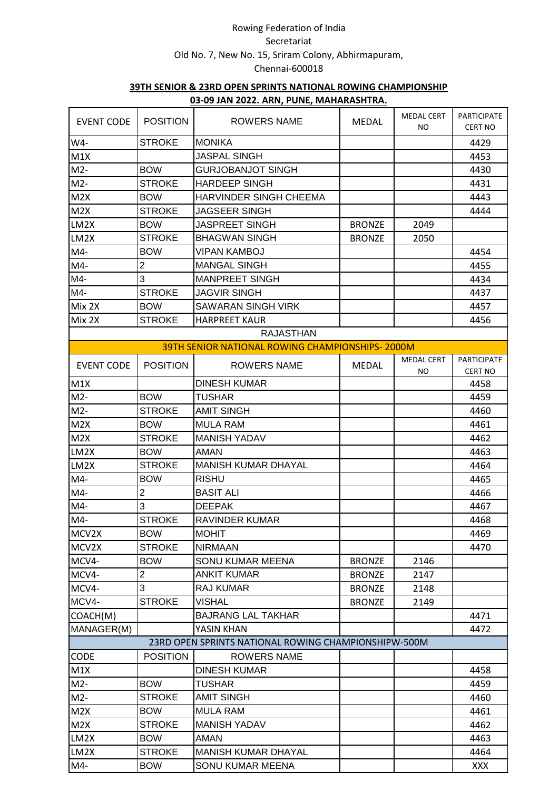| <b>EVENT CODE</b> | <b>POSITION</b> | <b>ROWERS NAME</b>                                     | <b>MEDAL</b>  | <b>MEDAL CERT</b><br>NO. | PARTICIPATE<br><b>CERT NO</b> |
|-------------------|-----------------|--------------------------------------------------------|---------------|--------------------------|-------------------------------|
| W4-               | <b>STROKE</b>   | <b>MONIKA</b>                                          |               |                          | 4429                          |
| M1X               |                 | JASPAL SINGH                                           |               |                          | 4453                          |
| $M2-$             | <b>BOW</b>      | <b>GURJOBANJOT SINGH</b>                               |               |                          | 4430                          |
| $M2-$             | <b>STROKE</b>   | <b>HARDEEP SINGH</b>                                   |               |                          | 4431                          |
| M2X               | <b>BOW</b>      | <b>HARVINDER SINGH CHEEMA</b>                          |               |                          | 4443                          |
| M2X               | <b>STROKE</b>   | <b>JAGSEER SINGH</b>                                   |               |                          | 4444                          |
| LM2X              | <b>BOW</b>      | <b>JASPREET SINGH</b>                                  | <b>BRONZE</b> | 2049                     |                               |
| LM2X              | <b>STROKE</b>   | <b>BHAGWAN SINGH</b>                                   | <b>BRONZE</b> | 2050                     |                               |
| M4-               | <b>BOW</b>      | VIPAN KAMBOJ                                           |               |                          | 4454                          |
| M4-               | $\overline{2}$  | <b>MANGAL SINGH</b>                                    |               |                          | 4455                          |
| M4-               | 3               | <b>MANPREET SINGH</b>                                  |               |                          | 4434                          |
| M4-               | <b>STROKE</b>   | <b>JAGVIR SINGH</b>                                    |               |                          | 4437                          |
| Mix 2X            | <b>BOW</b>      | <b>SAWARAN SINGH VIRK</b>                              |               |                          | 4457                          |
| Mix 2X            | <b>STROKE</b>   | <b>HARPREET KAUR</b>                                   |               |                          | 4456                          |
|                   |                 | <b>RAJASTHAN</b>                                       |               |                          |                               |
|                   |                 | <b>39TH SENIOR NATIONAL ROWING CHAMPIONSHIPS-2000M</b> |               |                          |                               |
| <b>EVENT CODE</b> | <b>POSITION</b> | <b>ROWERS NAME</b>                                     | <b>MEDAL</b>  | <b>MEDAL CERT</b>        | <b>PARTICIPATE</b>            |
|                   |                 | <b>DINESH KUMAR</b>                                    |               | ΝO                       | <b>CERT NO</b>                |
| M1X<br>$M2-$      |                 |                                                        |               |                          | 4458                          |
|                   | <b>BOW</b>      | TUSHAR<br><b>AMIT SINGH</b>                            |               |                          | 4459                          |
| $M2-$             | <b>STROKE</b>   |                                                        |               |                          | 4460                          |
| M2X               | <b>BOW</b>      | <b>MULA RAM</b>                                        |               |                          | 4461                          |
| M2X               | <b>STROKE</b>   | <b>MANISH YADAV</b>                                    |               |                          | 4462                          |
| LM2X              | <b>BOW</b>      | <b>AMAN</b>                                            |               |                          | 4463                          |
| LM2X              | <b>STROKE</b>   | <b>MANISH KUMAR DHAYAL</b>                             |               |                          | 4464                          |
| $M4-$             | <b>BOW</b>      | <b>RISHU</b>                                           |               |                          | 4465                          |
| $M4-$             | $\overline{c}$  | <b>BASIT ALI</b>                                       |               |                          | 4466                          |
| $M4-$             | 3               | <b>DEEPAK</b>                                          |               |                          | 4467                          |
| $M4-$             | <b>STROKE</b>   | <b>RAVINDER KUMAR</b>                                  |               |                          | 4468                          |
| MCV2X             | <b>BOW</b>      | <b>MOHIT</b>                                           |               |                          | 4469                          |
| MCV2X             | <b>STROKE</b>   | <b>NIRMAAN</b>                                         |               |                          | 4470                          |
| MCV4-             | <b>BOW</b>      | SONU KUMAR MEENA                                       | <b>BRONZE</b> | 2146                     |                               |
| MCV4-             | $\overline{c}$  | <b>ANKIT KUMAR</b>                                     | <b>BRONZE</b> | 2147                     |                               |
| MCV4-             | 3               | RAJ KUMAR                                              | <b>BRONZE</b> | 2148                     |                               |
| MCV4-             | <b>STROKE</b>   | VISHAL                                                 | <b>BRONZE</b> | 2149                     |                               |
| COACH(M)          |                 | <b>BAJRANG LAL TAKHAR</b>                              |               |                          | 4471                          |
| MANAGER(M)        |                 | YASIN KHAN                                             |               |                          | 4472                          |
|                   |                 | 23RD OPEN SPRINTS NATIONAL ROWING CHAMPIONSHIPW-500M   |               |                          |                               |
| <b>CODE</b>       | <b>POSITION</b> | <b>ROWERS NAME</b>                                     |               |                          |                               |
| M1X               |                 | <b>DINESH KUMAR</b>                                    |               |                          | 4458                          |
| $M2-$             | <b>BOW</b>      | <b>TUSHAR</b>                                          |               |                          | 4459                          |
| $M2-$             | <b>STROKE</b>   | <b>AMIT SINGH</b>                                      |               |                          | 4460                          |
| M2X               | <b>BOW</b>      | <b>MULA RAM</b>                                        |               |                          | 4461                          |
| M2X               | <b>STROKE</b>   | <b>MANISH YADAV</b>                                    |               |                          | 4462                          |
| LM2X              | <b>BOW</b>      | <b>AMAN</b>                                            |               |                          | 4463                          |
| LM2X              | <b>STROKE</b>   | <b>MANISH KUMAR DHAYAL</b>                             |               |                          | 4464                          |
| $M4-$             | <b>BOW</b>      | SONU KUMAR MEENA                                       |               |                          | <b>XXX</b>                    |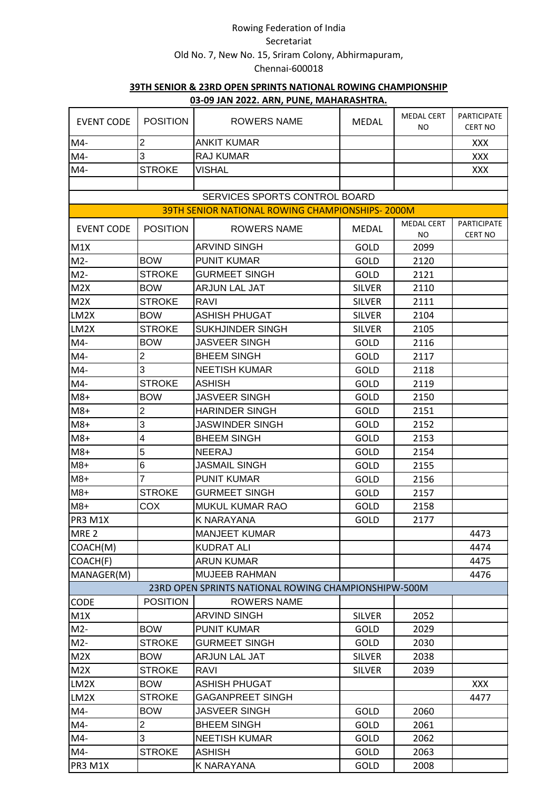| <b>EVENT CODE</b> | <b>POSITION</b> | <u>00-00 JAN 2022. ANN, LONE, MAHAMAJITINA.</u><br>ROWERS NAME | <b>MEDAL</b>  | <b>MEDAL CERT</b><br>NO. | <b>PARTICIPATE</b><br><b>CERT NO</b> |
|-------------------|-----------------|----------------------------------------------------------------|---------------|--------------------------|--------------------------------------|
| $M4-$             | $\overline{2}$  | <b>ANKIT KUMAR</b>                                             |               |                          | <b>XXX</b>                           |
| $M4-$             | 3               | <b>RAJ KUMAR</b>                                               |               |                          | XXX                                  |
| $M4-$             | <b>STROKE</b>   | <b>VISHAL</b>                                                  |               |                          | XXX                                  |
|                   |                 |                                                                |               |                          |                                      |
|                   |                 | SERVICES SPORTS CONTROL BOARD                                  |               |                          |                                      |
|                   |                 | <b>39TH SENIOR NATIONAL ROWING CHAMPIONSHIPS-2000M</b>         |               |                          |                                      |
| <b>EVENT CODE</b> | <b>POSITION</b> | <b>ROWERS NAME</b>                                             | <b>MEDAL</b>  | <b>MEDAL CERT</b><br>NO. | PARTICIPATE<br><b>CERT NO</b>        |
| M1X               |                 | <b>ARVIND SINGH</b>                                            | GOLD          | 2099                     |                                      |
| $M2-$             | <b>BOW</b>      | <b>PUNIT KUMAR</b>                                             | <b>GOLD</b>   | 2120                     |                                      |
| $M2-$             | <b>STROKE</b>   | <b>GURMEET SINGH</b>                                           | GOLD          | 2121                     |                                      |
| M2X               | <b>BOW</b>      | ARJUN LAL JAT                                                  | <b>SILVER</b> | 2110                     |                                      |
| M2X               | <b>STROKE</b>   | RAVI                                                           | <b>SILVER</b> | 2111                     |                                      |
| LM2X              | <b>BOW</b>      | <b>ASHISH PHUGAT</b>                                           | <b>SILVER</b> | 2104                     |                                      |
| LM2X              | <b>STROKE</b>   | SUKHJINDER SINGH                                               | <b>SILVER</b> | 2105                     |                                      |
| $M4-$             | <b>BOW</b>      | <b>JASVEER SINGH</b>                                           | GOLD          | 2116                     |                                      |
| M4-               | $\overline{c}$  | <b>BHEEM SINGH</b>                                             | GOLD          | 2117                     |                                      |
| $M4-$             | 3               | <b>NEETISH KUMAR</b>                                           | <b>GOLD</b>   | 2118                     |                                      |
| $M4-$             | <b>STROKE</b>   | <b>ASHISH</b>                                                  | <b>GOLD</b>   | 2119                     |                                      |
| $M8+$             | <b>BOW</b>      | <b>JASVEER SINGH</b>                                           | GOLD          | 2150                     |                                      |
| $M8+$             | $\overline{2}$  | <b>HARINDER SINGH</b>                                          | <b>GOLD</b>   | 2151                     |                                      |
| $M8+$             | 3               | <b>JASWINDER SINGH</b>                                         | GOLD          | 2152                     |                                      |
| $M8+$             | 4               | <b>BHEEM SINGH</b>                                             | <b>GOLD</b>   | 2153                     |                                      |
| $M8+$             | 5               | <b>NEERAJ</b>                                                  | GOLD          | 2154                     |                                      |
| $M8+$             | 6               | <b>JASMAIL SINGH</b>                                           | <b>GOLD</b>   | 2155                     |                                      |
| $M8+$             | $\overline{7}$  | <b>PUNIT KUMAR</b>                                             | <b>GOLD</b>   | 2156                     |                                      |
| $M8+$             | <b>STROKE</b>   | <b>GURMEET SINGH</b>                                           | GOLD          | 2157                     |                                      |
| $M8+$             | COX             | MUKUL KUMAR RAO                                                | <b>GOLD</b>   | 2158                     |                                      |
| PR3 M1X           |                 | <b>K NARAYANA</b>                                              | GOLD          | 2177                     |                                      |
| MRE <sub>2</sub>  |                 | <b>MANJEET KUMAR</b>                                           |               |                          | 4473                                 |
| COACH(M)          |                 | <b>KUDRAT ALI</b>                                              |               |                          | 4474                                 |
| COACH(F)          |                 | <b>ARUN KUMAR</b>                                              |               |                          | 4475                                 |
| MANAGER(M)        |                 | <b>MUJEEB RAHMAN</b>                                           |               |                          | 4476                                 |
|                   |                 | 23RD OPEN SPRINTS NATIONAL ROWING CHAMPIONSHIPW-500M           |               |                          |                                      |
| <b>CODE</b>       | <b>POSITION</b> | <b>ROWERS NAME</b>                                             |               |                          |                                      |
| M1X               |                 | <b>ARVIND SINGH</b>                                            | <b>SILVER</b> | 2052                     |                                      |
| $M2-$             | <b>BOW</b>      | <b>PUNIT KUMAR</b>                                             | GOLD          | 2029                     |                                      |
| $M2-$             | <b>STROKE</b>   | <b>GURMEET SINGH</b>                                           | GOLD          | 2030                     |                                      |
| M2X               | <b>BOW</b>      | <b>ARJUN LAL JAT</b>                                           | <b>SILVER</b> | 2038                     |                                      |
| M2X               | <b>STROKE</b>   | RAVI                                                           | <b>SILVER</b> | 2039                     |                                      |
| LM2X              | <b>BOW</b>      | <b>ASHISH PHUGAT</b>                                           |               |                          | <b>XXX</b>                           |
| LM2X              | <b>STROKE</b>   | <b>GAGANPREET SINGH</b>                                        |               |                          | 4477                                 |
| M4-               | <b>BOW</b>      | <b>JASVEER SINGH</b>                                           | GOLD          | 2060                     |                                      |
| M4-               | $\overline{c}$  | <b>BHEEM SINGH</b>                                             | GOLD          | 2061                     |                                      |
| $M4-$             | 3               | <b>NEETISH KUMAR</b>                                           | GOLD          | 2062                     |                                      |
| M4-               | <b>STROKE</b>   | <b>ASHISH</b>                                                  | GOLD          | 2063                     |                                      |
| PR3 M1X           |                 | K NARAYANA                                                     | GOLD          | 2008                     |                                      |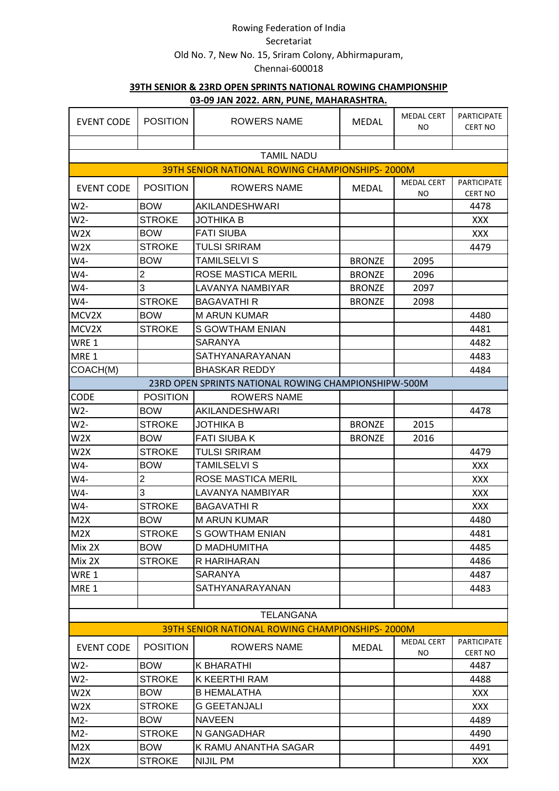| <b>EVENT CODE</b>       | <b>POSITION</b> | <b>ROWERS NAME</b>                                                   | <b>MEDAL</b>  | <b>MEDAL CERT</b><br>NO. | <b>PARTICIPATE</b><br><b>CERT NO</b> |
|-------------------------|-----------------|----------------------------------------------------------------------|---------------|--------------------------|--------------------------------------|
|                         |                 |                                                                      |               |                          |                                      |
|                         |                 | <b>TAMIL NADU</b><br>39TH SENIOR NATIONAL ROWING CHAMPIONSHIPS-2000M |               |                          |                                      |
| <b>EVENT CODE</b>       | <b>POSITION</b> | <b>ROWERS NAME</b>                                                   | <b>MEDAL</b>  | <b>MEDAL CERT</b>        | <b>PARTICIPATE</b>                   |
|                         | <b>BOW</b>      | AKILANDESHWARI                                                       |               | ΝO                       | <b>CERT NO</b>                       |
| $W2-$<br>$W2-$          | <b>STROKE</b>   | <b>JOTHIKA B</b>                                                     |               |                          | 4478                                 |
|                         | <b>BOW</b>      | <b>FATI SIUBA</b>                                                    |               |                          | <b>XXX</b>                           |
| W <sub>2</sub> X<br>W2X | <b>STROKE</b>   | <b>TULSI SRIRAM</b>                                                  |               |                          | <b>XXX</b><br>4479                   |
| W4-                     | <b>BOW</b>      | <b>TAMILSELVI S</b>                                                  |               |                          |                                      |
|                         |                 |                                                                      | <b>BRONZE</b> | 2095                     |                                      |
| W4-                     | $\overline{c}$  | <b>ROSE MASTICA MERIL</b>                                            | <b>BRONZE</b> | 2096                     |                                      |
| W4-                     | 3               | LAVANYA NAMBIYAR                                                     | <b>BRONZE</b> | 2097                     |                                      |
| W4-                     | STROKE          | <b>BAGAVATHI R</b>                                                   | <b>BRONZE</b> | 2098                     |                                      |
| MCV2X                   | <b>BOW</b>      | <b>M ARUN KUMAR</b>                                                  |               |                          | 4480                                 |
| MCV2X                   | <b>STROKE</b>   | <b>S GOWTHAM ENIAN</b>                                               |               |                          | 4481                                 |
| WRE 1                   |                 | <b>SARANYA</b>                                                       |               |                          | 4482                                 |
| MRE 1                   |                 | SATHYANARAYANAN                                                      |               |                          | 4483                                 |
| COACH(M)                |                 | <b>BHASKAR REDDY</b>                                                 |               |                          | 4484                                 |
|                         |                 | 23RD OPEN SPRINTS NATIONAL ROWING CHAMPIONSHIPW-500M                 |               |                          |                                      |
| <b>CODE</b>             | <b>POSITION</b> | <b>ROWERS NAME</b>                                                   |               |                          |                                      |
| $W2-$                   | <b>BOW</b>      | AKILANDESHWARI                                                       |               |                          | 4478                                 |
| $W2-$                   | <b>STROKE</b>   | <b>JOTHIKA B</b>                                                     | <b>BRONZE</b> | 2015                     |                                      |
| W2X                     | <b>BOW</b>      | <b>FATI SIUBA K</b>                                                  | <b>BRONZE</b> | 2016                     |                                      |
| W <sub>2</sub> X        | <b>STROKE</b>   | <b>TULSI SRIRAM</b>                                                  |               |                          | 4479                                 |
| W4-                     | <b>BOW</b>      | <b>TAMILSELVI S</b>                                                  |               |                          | <b>XXX</b>                           |
| W4-                     | $\overline{2}$  | <b>ROSE MASTICA MERIL</b>                                            |               |                          | <b>XXX</b>                           |
| W4-                     | 3               | <b>LAVANYA NAMBIYAR</b>                                              |               |                          | <b>XXX</b>                           |
| W4-                     | <b>STROKE</b>   | <b>BAGAVATHI R</b>                                                   |               |                          | XXX                                  |
| M2X                     | <b>BOW</b>      | <b>M ARUN KUMAR</b>                                                  |               |                          | 4480                                 |
| M2X                     | <b>STROKE</b>   | <b>S GOWTHAM ENIAN</b>                                               |               |                          | 4481                                 |
| Mix 2X                  | <b>BOW</b>      | D MADHUMITHA                                                         |               |                          | 4485                                 |
| Mix 2X                  | <b>STROKE</b>   | R HARIHARAN                                                          |               |                          | 4486                                 |
| WRE 1                   |                 | <b>SARANYA</b>                                                       |               |                          | 4487                                 |
| MRE 1                   |                 | SATHYANARAYANAN                                                      |               |                          | 4483                                 |
|                         |                 |                                                                      |               |                          |                                      |
|                         |                 | <b>TELANGANA</b>                                                     |               |                          |                                      |
|                         |                 | <b>39TH SENIOR NATIONAL ROWING CHAMPIONSHIPS-2000M</b>               |               |                          |                                      |
| <b>EVENT CODE</b>       | <b>POSITION</b> | ROWERS NAME                                                          | <b>MEDAL</b>  | <b>MEDAL CERT</b>        | <b>PARTICIPATE</b>                   |
| $W2-$                   | <b>BOW</b>      | K BHARATHI                                                           |               | NO.                      | <b>CERT NO</b><br>4487               |
| W2-                     | <b>STROKE</b>   | K KEERTHI RAM                                                        |               |                          | 4488                                 |
| W2X                     | <b>BOW</b>      | <b>B HEMALATHA</b>                                                   |               |                          | <b>XXX</b>                           |
| W <sub>2</sub> X        | <b>STROKE</b>   | <b>G GEETANJALI</b>                                                  |               |                          | XXX                                  |
| $M2-$                   | <b>BOW</b>      | <b>NAVEEN</b>                                                        |               |                          | 4489                                 |
| $M2-$                   | <b>STROKE</b>   | N GANGADHAR                                                          |               |                          | 4490                                 |
|                         | <b>BOW</b>      | K RAMU ANANTHA SAGAR                                                 |               |                          |                                      |
| M2X                     |                 |                                                                      |               |                          | 4491                                 |
| M2X                     | <b>STROKE</b>   | <b>NIJIL PM</b>                                                      |               |                          | <b>XXX</b>                           |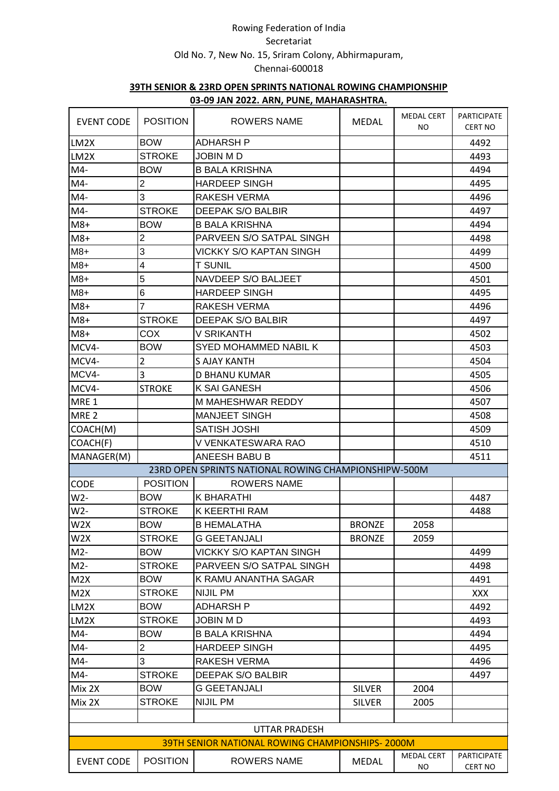| <b>EVENT CODE</b> | <b>POSITION</b>  | . <u>.</u><br><b>ROWERS NAME</b>                       | <b>MEDAL</b>  | <b>MEDAL CERT</b><br><b>NO</b> | PARTICIPATE<br><b>CERT NO</b> |
|-------------------|------------------|--------------------------------------------------------|---------------|--------------------------------|-------------------------------|
| LM <sub>2</sub> X | <b>BOW</b>       | <b>ADHARSH P</b>                                       |               |                                | 4492                          |
| LM2X              | <b>STROKE</b>    | JOBIN M D                                              |               |                                | 4493                          |
| $M4-$             | <b>BOW</b>       | <b>B BALA KRISHNA</b>                                  |               |                                | 4494                          |
| M4-               | $\boldsymbol{2}$ | <b>HARDEEP SINGH</b>                                   |               |                                | 4495                          |
| $M4-$             | 3                | <b>RAKESH VERMA</b>                                    |               |                                | 4496                          |
| $M4-$             | <b>STROKE</b>    | DEEPAK S/O BALBIR                                      |               |                                | 4497                          |
| $M8+$             | <b>BOW</b>       | <b>B BALA KRISHNA</b>                                  |               |                                | 4494                          |
| $M8+$             | $\overline{2}$   | PARVEEN S/O SATPAL SINGH                               |               |                                | 4498                          |
| $M8+$             | 3                | VICKKY S/O KAPTAN SINGH                                |               |                                | 4499                          |
| $M8+$             | 4                | <b>T SUNIL</b>                                         |               |                                | 4500                          |
| $M8+$             | 5                | NAVDEEP S/O BALJEET                                    |               |                                | 4501                          |
| $M8+$             | 6                | <b>HARDEEP SINGH</b>                                   |               |                                | 4495                          |
| $M8+$             | $\overline{7}$   | <b>RAKESH VERMA</b>                                    |               |                                | 4496                          |
| $M8+$             | <b>STROKE</b>    | DEEPAK S/O BALBIR                                      |               |                                | 4497                          |
| $M8+$             | <b>COX</b>       | V SRIKANTH                                             |               |                                | 4502                          |
| MCV4-             | <b>BOW</b>       | <b>SYED MOHAMMED NABIL K</b>                           |               |                                | 4503                          |
| MCV4-             | $\overline{2}$   | <b>S AJAY KANTH</b>                                    |               |                                | 4504                          |
| MCV4-             | $\overline{3}$   | D BHANU KUMAR                                          |               |                                | 4505                          |
| MCV4-             | <b>STROKE</b>    | <b>K SAI GANESH</b>                                    |               |                                | 4506                          |
| MRE <sub>1</sub>  |                  | M MAHESHWAR REDDY                                      |               |                                | 4507                          |
| MRE <sub>2</sub>  |                  | <b>MANJEET SINGH</b>                                   |               |                                | 4508                          |
| COACH(M)          |                  | <b>SATISH JOSHI</b>                                    |               |                                | 4509                          |
| COACH(F)          |                  | V VENKATESWARA RAO                                     |               |                                | 4510                          |
| MANAGER(M)        |                  | ANEESH BABU B                                          |               |                                | 4511                          |
|                   |                  | 23RD OPEN SPRINTS NATIONAL ROWING CHAMPIONSHIPW-500M   |               |                                |                               |
| <b>CODE</b>       | <b>POSITION</b>  | <b>ROWERS NAME</b>                                     |               |                                |                               |
| $W2-$             | <b>BOW</b>       | <b>K BHARATHI</b>                                      |               |                                | 4487                          |
| W2-               | <b>STROKE</b>    | K KEERTHI RAM                                          |               |                                | 4488                          |
| W <sub>2</sub> X  | <b>BOW</b>       | <b>B HEMALATHA</b>                                     | <b>BRONZE</b> | 2058                           |                               |
| W <sub>2</sub> X  | <b>STROKE</b>    | G GEETANJALI                                           | <b>BRONZE</b> | 2059                           |                               |
| $M2-$             | <b>BOW</b>       | VICKKY S/O KAPTAN SINGH                                |               |                                | 4499                          |
| $M2-$             | <b>STROKE</b>    | PARVEEN S/O SATPAL SINGH                               |               |                                | 4498                          |
| M2X               | <b>BOW</b>       | K RAMU ANANTHA SAGAR                                   |               |                                | 4491                          |
| M2X               | <b>STROKE</b>    | <b>NIJIL PM</b>                                        |               |                                | <b>XXX</b>                    |
| LM2X              | <b>BOW</b>       | ADHARSH P                                              |               |                                | 4492                          |
| LM2X              | <b>STROKE</b>    | <b>JOBIN MD</b>                                        |               |                                | 4493                          |
| $M4-$             | <b>BOW</b>       | <b>B BALA KRISHNA</b>                                  |               |                                | 4494                          |
| $M4-$             | $\overline{c}$   | <b>HARDEEP SINGH</b>                                   |               |                                | 4495                          |
| $M4-$             | 3                | RAKESH VERMA                                           |               |                                | 4496                          |
| M4-               | <b>STROKE</b>    | DEEPAK S/O BALBIR                                      |               |                                | 4497                          |
| Mix 2X            | <b>BOW</b>       | <b>G GEETANJALI</b>                                    | <b>SILVER</b> | 2004                           |                               |
| Mix 2X            | <b>STROKE</b>    | NIJIL PM                                               | <b>SILVER</b> | 2005                           |                               |
|                   |                  |                                                        |               |                                |                               |
|                   |                  | <b>UTTAR PRADESH</b>                                   |               |                                |                               |
|                   |                  | <b>39TH SENIOR NATIONAL ROWING CHAMPIONSHIPS-2000M</b> |               |                                |                               |
| <b>EVENT CODE</b> | <b>POSITION</b>  | <b>ROWERS NAME</b>                                     | <b>MEDAL</b>  | <b>MEDAL CERT</b><br><b>NO</b> | <b>PARTICIPATE</b><br>CERT NO |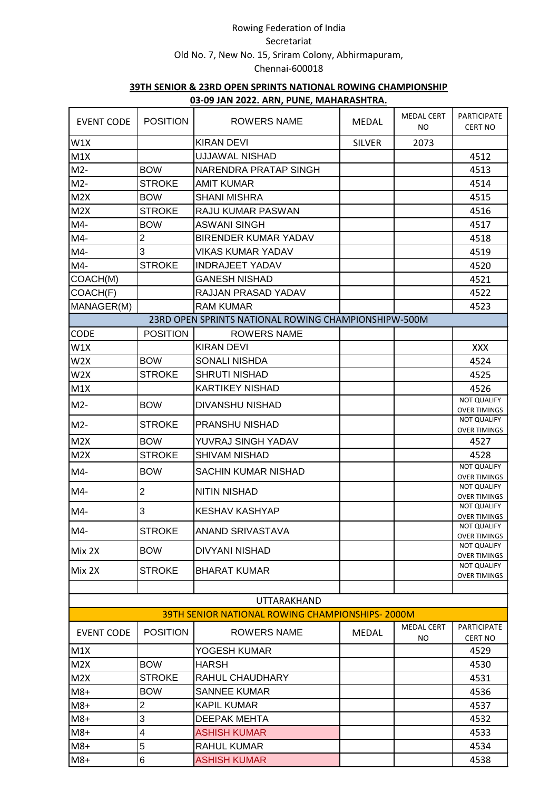|                   |                         | <u>03-09 JAIN ZUZZ. ANIV, FUINL, IVIANAIANAJNTINA.</u> |               |                          |                                           |
|-------------------|-------------------------|--------------------------------------------------------|---------------|--------------------------|-------------------------------------------|
| <b>EVENT CODE</b> | <b>POSITION</b>         | ROWERS NAME                                            | <b>MEDAL</b>  | <b>MEDAL CERT</b><br>NO. | PARTICIPATE<br><b>CERT NO</b>             |
| W1X               |                         | <b>KIRAN DEVI</b>                                      | <b>SILVER</b> | 2073                     |                                           |
| M1X               |                         | <b>UJJAWAL NISHAD</b>                                  |               |                          | 4512                                      |
| $M2-$             | <b>BOW</b>              | NARENDRA PRATAP SINGH                                  |               |                          | 4513                                      |
| $M2-$             | <b>STROKE</b>           | <b>AMIT KUMAR</b>                                      |               |                          | 4514                                      |
| M2X               | <b>BOW</b>              | <b>SHANI MISHRA</b>                                    |               |                          | 4515                                      |
| M2X               | <b>STROKE</b>           | RAJU KUMAR PASWAN                                      |               |                          | 4516                                      |
| $M4-$             | <b>BOW</b>              | <b>ASWANI SINGH</b>                                    |               |                          | 4517                                      |
| M4-               | $\overline{c}$          | <b>BIRENDER KUMAR YADAV</b>                            |               |                          | 4518                                      |
| $M4-$             | 3                       | <b>VIKAS KUMAR YADAV</b>                               |               |                          | 4519                                      |
| $M4-$             | <b>STROKE</b>           | <b>INDRAJEET YADAV</b>                                 |               |                          | 4520                                      |
| COACH(M)          |                         | <b>GANESH NISHAD</b>                                   |               |                          | 4521                                      |
| COACH(F)          |                         | RAJJAN PRASAD YADAV                                    |               |                          | 4522                                      |
| MANAGER(M)        |                         | <b>RAM KUMAR</b>                                       |               |                          | 4523                                      |
|                   |                         | 23RD OPEN SPRINTS NATIONAL ROWING CHAMPIONSHIPW-500M   |               |                          |                                           |
| CODE              | <b>POSITION</b>         | <b>ROWERS NAME</b>                                     |               |                          |                                           |
| W1X               |                         | <b>KIRAN DEVI</b>                                      |               |                          | XXX                                       |
| W <sub>2</sub> X  | <b>BOW</b>              | <b>SONALI NISHDA</b>                                   |               |                          | 4524                                      |
| W <sub>2</sub> X  | <b>STROKE</b>           | <b>SHRUTI NISHAD</b>                                   |               |                          | 4525                                      |
| M1X               |                         | <b>KARTIKEY NISHAD</b>                                 |               |                          | 4526                                      |
| $M2-$             | <b>BOW</b>              | <b>DIVANSHU NISHAD</b>                                 |               |                          | <b>NOT QUALIFY</b><br><b>OVER TIMINGS</b> |
| $M2-$             | <b>STROKE</b>           | PRANSHU NISHAD                                         |               |                          | NOT QUALIFY<br><b>OVER TIMINGS</b>        |
| M2X               | <b>BOW</b>              | YUVRAJ SINGH YADAV                                     |               |                          | 4527                                      |
| M2X               | <b>STROKE</b>           | <b>SHIVAM NISHAD</b>                                   |               |                          | 4528                                      |
| $M4-$             | <b>BOW</b>              | SACHIN KUMAR NISHAD                                    |               |                          | <b>NOT QUALIFY</b><br><b>OVER TIMINGS</b> |
| M4-               | $\overline{2}$          | <b>NITIN NISHAD</b>                                    |               |                          | <b>NOT QUALIFY</b><br><b>OVER TIMINGS</b> |
| M4-               | 3                       | <b>KESHAV KASHYAP</b>                                  |               |                          | NOT QUALIFY<br><b>OVER TIMINGS</b>        |
| $M4-$             | <b>STROKE</b>           | ANAND SRIVASTAVA                                       |               |                          | NOT QUALIFY<br><b>OVER TIMINGS</b>        |
| Mix 2X            | <b>BOW</b>              | <b>DIVYANI NISHAD</b>                                  |               |                          | NOT QUALIFY<br><b>OVER TIMINGS</b>        |
|                   | <b>STROKE</b>           | <b>BHARAT KUMAR</b>                                    |               |                          | NOT QUALIFY                               |
| Mix 2X            |                         |                                                        |               |                          | <b>OVER TIMINGS</b>                       |
|                   |                         |                                                        |               |                          |                                           |
|                   |                         | <b>UTTARAKHAND</b>                                     |               |                          |                                           |
|                   |                         | <b>39TH SENIOR NATIONAL ROWING CHAMPIONSHIPS-2000M</b> |               |                          |                                           |
| <b>EVENT CODE</b> | <b>POSITION</b>         | <b>ROWERS NAME</b>                                     | <b>MEDAL</b>  | <b>MEDAL CERT</b><br>NO  | <b>PARTICIPATE</b><br><b>CERT NO</b>      |
| M1X               |                         | YOGESH KUMAR                                           |               |                          | 4529                                      |
| M2X               | <b>BOW</b>              | <b>HARSH</b>                                           |               |                          | 4530                                      |
| M2X               | <b>STROKE</b>           | RAHUL CHAUDHARY                                        |               |                          | 4531                                      |
| $M8+$             | <b>BOW</b>              | <b>SANNEE KUMAR</b>                                    |               |                          | 4536                                      |
| $M8+$             | $\overline{c}$          | <b>KAPIL KUMAR</b>                                     |               |                          | 4537                                      |
| $M8+$             | 3                       | <b>DEEPAK MEHTA</b>                                    |               |                          | 4532                                      |
| $M8+$             | $\overline{\mathbf{4}}$ | <b>ASHISH KUMAR</b>                                    |               |                          | 4533                                      |
| $M8+$             | 5                       | <b>RAHUL KUMAR</b>                                     |               |                          | 4534                                      |
| $M8+$             | $\,6$                   | <b>ASHISH KUMAR</b>                                    |               |                          | 4538                                      |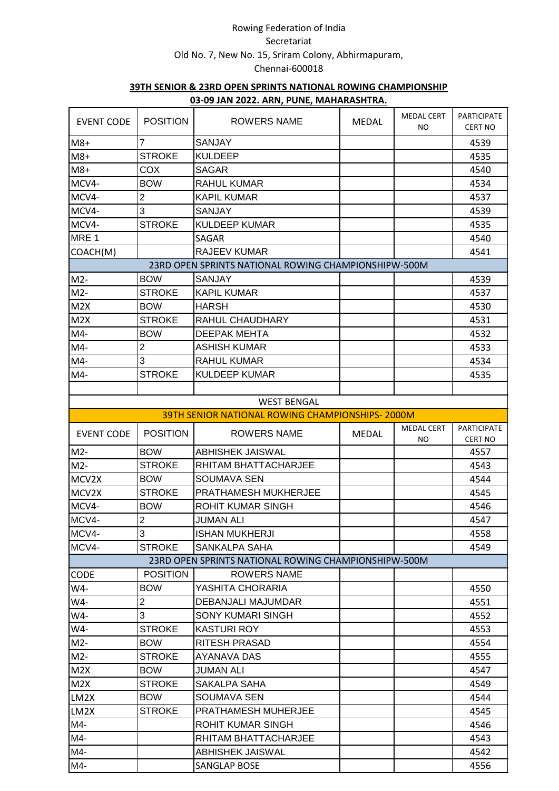|                                                      |                 | <u>03-03 JAN ZUZZ. ANN, FUNL, MAHANASHTINA.</u>      |              |                          |                                      |  |
|------------------------------------------------------|-----------------|------------------------------------------------------|--------------|--------------------------|--------------------------------------|--|
| <b>EVENT CODE</b>                                    | <b>POSITION</b> | ROWERS NAME                                          | <b>MEDAL</b> | <b>MEDAL CERT</b><br>NO. | <b>PARTICIPATE</b><br><b>CERT NO</b> |  |
| $M8+$                                                | $\overline{7}$  | <b>SANJAY</b>                                        |              |                          | 4539                                 |  |
| $M8+$                                                | <b>STROKE</b>   | <b>KULDEEP</b>                                       |              |                          | 4535                                 |  |
| $M8+$                                                | COX             | <b>SAGAR</b>                                         |              |                          | 4540                                 |  |
| MCV4-                                                | <b>BOW</b>      | <b>RAHUL KUMAR</b>                                   |              |                          | 4534                                 |  |
| MCV4-                                                | $\overline{2}$  | <b>KAPIL KUMAR</b>                                   |              |                          | 4537                                 |  |
| MCV4-                                                | 3               | <b>SANJAY</b>                                        |              |                          | 4539                                 |  |
| MCV4-                                                | <b>STROKE</b>   | <b>KULDEEP KUMAR</b>                                 |              |                          | 4535                                 |  |
| MRE <sub>1</sub>                                     |                 | SAGAR                                                |              |                          | 4540                                 |  |
| COACH(M)                                             |                 | <b>RAJEEV KUMAR</b>                                  |              |                          | 4541                                 |  |
| 23RD OPEN SPRINTS NATIONAL ROWING CHAMPIONSHIPW-500M |                 |                                                      |              |                          |                                      |  |
| $M2-$                                                | <b>BOW</b>      | <b>SANJAY</b>                                        |              |                          | 4539                                 |  |
| $M2-$                                                | <b>STROKE</b>   | <b>KAPIL KUMAR</b>                                   |              |                          | 4537                                 |  |
| M2X                                                  | <b>BOW</b>      | HARSH                                                |              |                          | 4530                                 |  |
| M2X                                                  | <b>STROKE</b>   | RAHUL CHAUDHARY                                      |              |                          | 4531                                 |  |
| $M4-$                                                | <b>BOW</b>      | <b>DEEPAK MEHTA</b>                                  |              |                          | 4532                                 |  |
| $M4-$                                                | $\overline{2}$  | <b>ASHISH KUMAR</b>                                  |              |                          | 4533                                 |  |
| $M4-$                                                | 3               | <b>RAHUL KUMAR</b>                                   |              |                          | 4534                                 |  |
| $M4-$                                                | <b>STROKE</b>   | <b>KULDEEP KUMAR</b>                                 |              |                          | 4535                                 |  |
|                                                      |                 |                                                      |              |                          |                                      |  |
|                                                      |                 | <b>WEST BENGAL</b>                                   |              |                          |                                      |  |
|                                                      |                 | 39TH SENIOR NATIONAL ROWING CHAMPIONSHIPS-2000M      |              |                          |                                      |  |
| <b>EVENT CODE</b>                                    | <b>POSITION</b> | <b>ROWERS NAME</b>                                   | <b>MEDAL</b> | <b>MEDAL CERT</b><br>NO. | <b>PARTICIPATE</b><br><b>CERT NO</b> |  |
| $M2-$                                                | <b>BOW</b>      | <b>ABHISHEK JAISWAL</b>                              |              |                          | 4557                                 |  |
| $M2-$                                                | <b>STROKE</b>   | RHITAM BHATTACHARJEE                                 |              |                          | 4543                                 |  |
| MCV2X                                                | <b>BOW</b>      | <b>SOUMAVA SEN</b>                                   |              |                          | 4544                                 |  |
| MCV2X                                                | <b>STROKE</b>   | PRATHAMESH MUKHERJEE                                 |              |                          | 4545                                 |  |
| MCV4-                                                | <b>BOW</b>      | ROHIT KUMAR SINGH                                    |              |                          | 4546                                 |  |
| MCV4-                                                | $\overline{2}$  | JUMAN ALI                                            |              |                          | 4547                                 |  |
| MCV4-                                                | 3               | <b>ISHAN MUKHERJI</b>                                |              |                          | 4558                                 |  |
| MCV4-                                                | <b>STROKE</b>   | SANKALPA SAHA                                        |              |                          | 4549                                 |  |
|                                                      |                 | 23RD OPEN SPRINTS NATIONAL ROWING CHAMPIONSHIPW-500M |              |                          |                                      |  |
| <b>CODE</b>                                          | <b>POSITION</b> | ROWERS NAME                                          |              |                          |                                      |  |
| W4-                                                  | <b>BOW</b>      | YASHITA CHORARIA                                     |              |                          | 4550                                 |  |
| W4-                                                  | 2               | DEBANJALI MAJUMDAR                                   |              |                          | 4551                                 |  |
| W4-                                                  | 3               | SONY KUMARI SINGH                                    |              |                          | 4552                                 |  |
| W4-                                                  | <b>STROKE</b>   | <b>KASTURI ROY</b>                                   |              |                          | 4553                                 |  |
| $M2-$                                                | <b>BOW</b>      | RITESH PRASAD                                        |              |                          | 4554                                 |  |
| $M2-$                                                | <b>STROKE</b>   | AYANAVA DAS                                          |              |                          | 4555                                 |  |
| M2X                                                  | <b>BOW</b>      | <b>JUMAN ALI</b>                                     |              |                          | 4547                                 |  |
| M2X                                                  | <b>STROKE</b>   | SAKALPA SAHA                                         |              |                          | 4549                                 |  |
| LM2X                                                 | <b>BOW</b>      | <b>SOUMAVA SEN</b>                                   |              |                          | 4544                                 |  |
| LM2X                                                 | <b>STROKE</b>   | <b>PRATHAMESH MUHERJEE</b>                           |              |                          | 4545                                 |  |
| M4-                                                  |                 | ROHIT KUMAR SINGH                                    |              |                          | 4546                                 |  |
| M4-                                                  |                 | RHITAM BHATTACHARJEE                                 |              |                          | 4543                                 |  |
| M4-                                                  |                 | ABHISHEK JAISWAL                                     |              |                          | 4542                                 |  |
| M4-                                                  |                 | SANGLAP BOSE                                         |              |                          | 4556                                 |  |